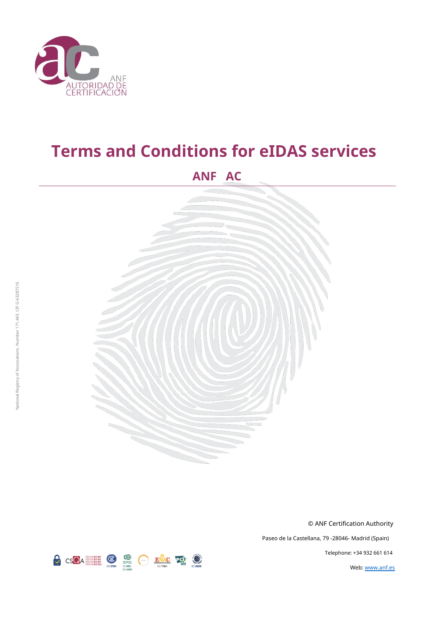

# **Terms and Conditions for eIDAS services**

# **ANF AC**



© ANF Certification Authority

Paseo de la Castellana, 79 -28046- Madrid (Spain)

Telephone: +34 932 661 614

Web: [www.anf.es](http://www.anf.es/)

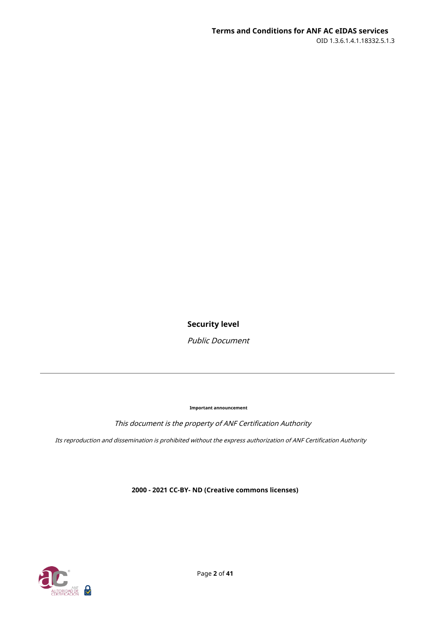**Security level**

Public Document

**Important announcement**

This document is the property of ANF Certification Authority

Its reproduction and dissemination is prohibited without the express authorization of ANF Certification Authority

**2000 - 2021 CC-BY- ND (Creative commons licenses)**

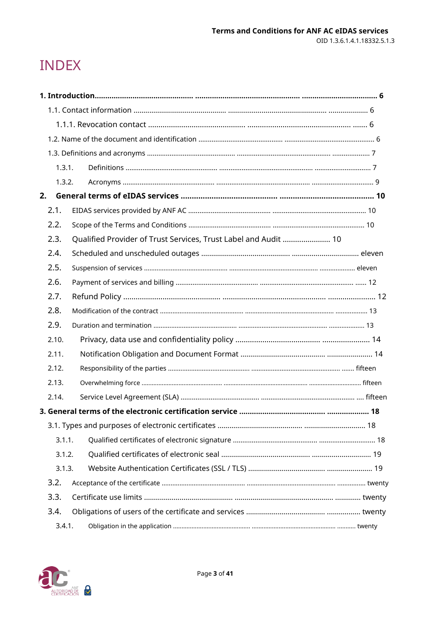# **INDEX**

| 1.3.1. |                                                                                     |  |
|--------|-------------------------------------------------------------------------------------|--|
| 1.3.2. |                                                                                     |  |
| 2.     |                                                                                     |  |
| 2.1.   |                                                                                     |  |
| 2.2.   |                                                                                     |  |
| 2.3.   | Qualified Provider of Trust Services, Trust Label and Audit  10                     |  |
| 2.4.   |                                                                                     |  |
| 2.5.   |                                                                                     |  |
| 2.6.   |                                                                                     |  |
| 2.7.   |                                                                                     |  |
| 2.8.   |                                                                                     |  |
| 2.9.   |                                                                                     |  |
| 2.10.  |                                                                                     |  |
| 2.11.  |                                                                                     |  |
| 2.12.  |                                                                                     |  |
| 2.13.  |                                                                                     |  |
| 2.14.  |                                                                                     |  |
|        | 3. General terms of the electronic certification service …………………………………………………………… 18 |  |
|        |                                                                                     |  |
| 3.1.1. |                                                                                     |  |
| 3.1.2. |                                                                                     |  |
| 3.1.3. |                                                                                     |  |
| 3.2.   |                                                                                     |  |
| 3.3.   |                                                                                     |  |
| 3.4.   |                                                                                     |  |
| 3.4.1. |                                                                                     |  |

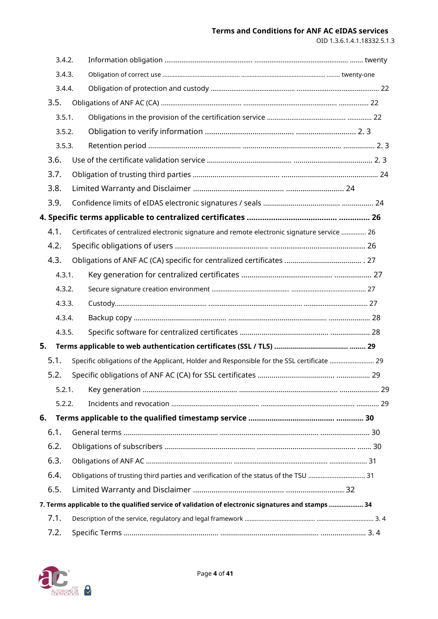# **Terms and Conditions for ANF AC eIDAS services**

OID 1.3.6.1.4.1.18332.5.1.3

| 3.4.2. |                                                                                                    |  |
|--------|----------------------------------------------------------------------------------------------------|--|
| 3.4.3. |                                                                                                    |  |
| 3.4.4. |                                                                                                    |  |
| 3.5.   |                                                                                                    |  |
| 3.5.1. |                                                                                                    |  |
| 3.5.2. |                                                                                                    |  |
| 3.5.3. |                                                                                                    |  |
| 3.6.   |                                                                                                    |  |
| 3.7.   |                                                                                                    |  |
| 3.8.   |                                                                                                    |  |
| 3.9.   |                                                                                                    |  |
|        |                                                                                                    |  |
| 4.1.   | Certificates of centralized electronic signature and remote electronic signature service  26       |  |
| 4.2.   |                                                                                                    |  |
| 4.3.   |                                                                                                    |  |
| 4.3.1. |                                                                                                    |  |
| 4.3.2. |                                                                                                    |  |
| 4.3.3. |                                                                                                    |  |
| 4.3.4. |                                                                                                    |  |
| 4.3.5. |                                                                                                    |  |
| 5.     |                                                                                                    |  |
| 5.1.   | Specific obligations of the Applicant, Holder and Responsible for the SSL certificate  29          |  |
| 5.2.   |                                                                                                    |  |
| 5.2.1. |                                                                                                    |  |
| 5.2.2. |                                                                                                    |  |
| 6.     |                                                                                                    |  |
| 6.1.   |                                                                                                    |  |
| 6.2.   |                                                                                                    |  |
| 6.3.   |                                                                                                    |  |
| 6.4.   | Obligations of trusting third parties and verification of the status of the TSU  31                |  |
| 6.5.   |                                                                                                    |  |
|        | 7. Terms applicable to the qualified service of validation of electronic signatures and stamps  34 |  |
| 7.1.   |                                                                                                    |  |
| 7.2.   |                                                                                                    |  |

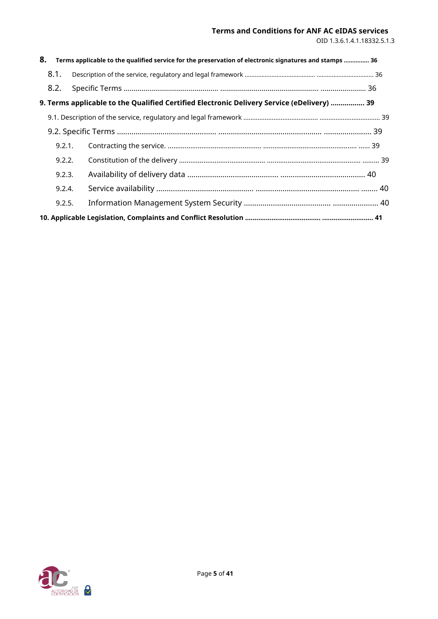# **Terms and Conditions for ANF AC eIDAS services**

OID 1.3.6.1.4.1.18332.5.1.3

| 8. |        | Terms applicable to the qualified service for the preservation of electronic signatures and stamps  36 |  |
|----|--------|--------------------------------------------------------------------------------------------------------|--|
|    | 8.1.   |                                                                                                        |  |
|    | 8.2.   |                                                                                                        |  |
|    |        | 9. Terms applicable to the Qualified Certified Electronic Delivery Service (eDelivery)  39             |  |
|    |        |                                                                                                        |  |
|    |        |                                                                                                        |  |
|    | 9.2.1. |                                                                                                        |  |
|    | 9.2.2. |                                                                                                        |  |
|    | 9.2.3. |                                                                                                        |  |
|    | 9.2.4. |                                                                                                        |  |
|    | 9.2.5. |                                                                                                        |  |
|    |        |                                                                                                        |  |

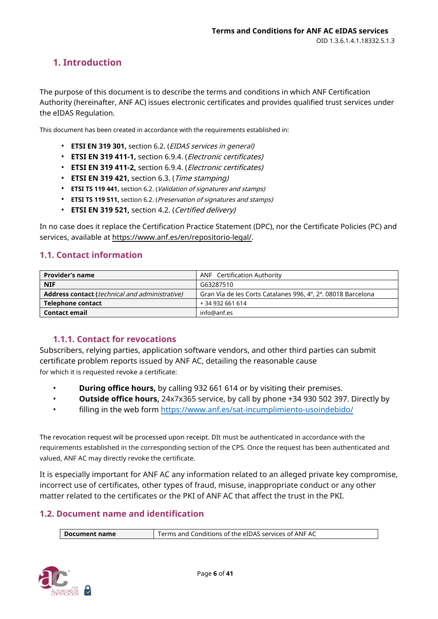# <span id="page-5-0"></span>**1. Introduction**

The purpose of this document is to describe the terms and conditions in which ANF Certification Authority (hereinafter, ANF AC) issues electronic certificates and provides qualified trust services under the eIDAS Regulation.

This document has been created in accordance with the requirements established in:

- **ETSI EN 319 301,** section 6.2. (EIDAS services in general)
- **ETSI EN 319 411-1,** section 6.9.4. (Electronic certificates)
- **ETSI EN 319 411-2,** section 6.9.4. (Electronic certificates)
- **ETSI EN 319 421,** section 6.3. (Time stamping)
- **ETSI TS 119 441,** section 6.2. (Validation of signatures and stamps)
- **ETSI TS 119 511,** section 6.2. (Preservation of signatures and stamps)
- **ETSI EN 319 521,** section 4.2. (Certified delivery)

In no case does it replace the Certification Practice Statement (DPC), nor the Certificate Policies (PC) and services, available at https://ww[w.anf.es/en/repositorio-legal/.](https://www.anf.es/en/repositorio-legal/)

# <span id="page-5-1"></span>**1.1. Contact information**

| <b>Provider's name</b>                                | <b>ANF</b> Certification Authority                           |  |
|-------------------------------------------------------|--------------------------------------------------------------|--|
| <b>NIF</b>                                            | G63287510                                                    |  |
| <b>Address contact (technical and administrative)</b> | Gran Vía de les Corts Catalanes 996, 4°, 2ª. 08018 Barcelona |  |
| Telephone contact                                     | +34 932 661 614                                              |  |
| <b>Contact email</b>                                  | info@anf.es                                                  |  |

# **1.1.1. Contact for revocations**

<span id="page-5-2"></span>Subscribers, relying parties, application software vendors, and other third parties can submit certificate problem reports issued by ANF AC, detailing the reasonable cause for which it is requested revoke a certificate:

- **During office hours,** by calling 932 661 614 or by visiting their premises.
- **Outside office hours,** 24x7x365 service, by call by phone +34 930 502 397. Directly by
- filling in the web form https://www.anf.es/sat-i[ncumplimiento-usoindebido/](https://www.anf.es/sat-incumplimiento-uso-indebido/)

The revocation request will be processed upon receipt. DIt must be authenticated in accordance with the requirements established in the corresponding section of the CPS. Once the request has been authenticated and valued, ANF AC may directly revoke the certificate.

It is especially important for ANF AC any information related to an alleged private key compromise, incorrect use of certificates, other types of fraud, misuse, inappropriate conduct or any other matter related to the certificates or the PKI of ANF AC that affect the trust in the PKI.

# <span id="page-5-3"></span>**1.2. Document name and identification**

**Document name** Terms and Conditions of the eIDAS services of ANF AC

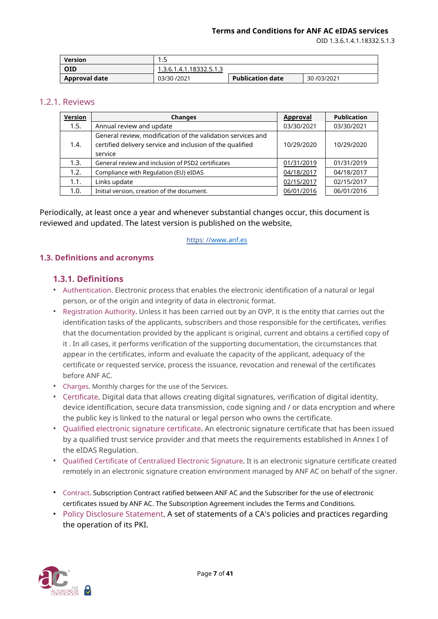OID 1.3.6.1.4.1.18332.5.1.3

| <b>Version</b> | .                       |                         |            |
|----------------|-------------------------|-------------------------|------------|
| <b>OID</b>     | 1.3.6.1.4.1.18332.5.1.3 |                         |            |
| Approval date  | 03/30 /2021             | <b>Publication date</b> | 30/03/2021 |

#### 1.2.1. Reviews

| Version | <b>Changes</b>                                              | <b>Approval</b> | <b>Publication</b> |
|---------|-------------------------------------------------------------|-----------------|--------------------|
| 1.5.    | Annual review and update                                    | 03/30/2021      | 03/30/2021         |
|         | General review, modification of the validation services and |                 |                    |
| 1.4.    | certified delivery service and inclusion of the qualified   | 10/29/2020      | 10/29/2020         |
|         | service                                                     |                 |                    |
| 1.3.    | General review and inclusion of PSD2 certificates           | 01/31/2019      | 01/31/2019         |
| 1.2.    | Compliance with Regulation (EU) eIDAS                       | 04/18/2017      | 04/18/2017         |
| 1.1.    | Links update                                                | 02/15/2017      | 02/15/2017         |
| 1.0.    | Initial version, creation of the document.                  | 06/01/2016      | 06/01/2016         |

Periodically, at least once a year and whenever substantial changes occur, this document is reviewed and updated. The latest version is published on the website,

#### https: /[/www.anf.es](http://www.anf.es/)

#### <span id="page-6-0"></span>**1.3. Definitions and acronyms**

# <span id="page-6-1"></span>**1.3.1. Definitions**

- Authentication. Electronic process that enables the electronic identification of a natural or legal person, or of the origin and integrity of data in electronic format.
- Registration Authority. Unless it has been carried out by an OVP, it is the entity that carries out the identification tasks of the applicants, subscribers and those responsible for the certificates, verifies that the documentation provided by the applicant is original, current and obtains a certified copy of it . In all cases, it performs verification of the supporting documentation, the circumstances that appear in the certificates, inform and evaluate the capacity of the applicant, adequacy of the certificate or requested service, process the issuance, revocation and renewal of the certificates before ANF AC.
- Charges. Monthly charges for the use of the Services.
- Certificate. Digital data that allows creating digital signatures, verification of digital identity, device identification, secure data transmission, code signing and / or data encryption and where the public key is linked to the natural or legal person who owns the certificate.
- Qualified electronic signature certificate. An electronic signature certificate that has been issued by a qualified trust service provider and that meets the requirements established in Annex I of the eIDAS Regulation.
- Qualified Certificate of Centralized Electronic Signature. It is an electronic signature certificate created remotely in an electronic signature creation environment managed by ANF AC on behalf of the signer.
- Contract. Subscription Contract ratified between ANF AC and the Subscriber for the use of electronic certificates issued by ANF AC. The Subscription Agreement includes the Terms and Conditions.
- Policy Disclosure Statement. A set of statements of a CA's policies and practices regarding the operation of its PKI.

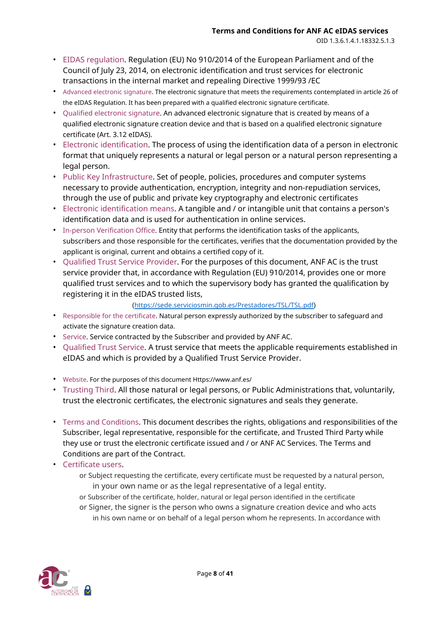- EIDAS regulation. Regulation (EU) No 910/2014 of the European Parliament and of the Council of July 23, 2014, on electronic identification and trust services for electronic transactions in the internal market and repealing Directive 1999/93 /EC
- Advanced electronic signature. The electronic signature that meets the requirements contemplated in article 26 of the eIDAS Regulation. It has been prepared with a qualified electronic signature certificate.
- Qualified electronic signature. An advanced electronic signature that is created by means of a qualified electronic signature creation device and that is based on a qualified electronic signature certificate (Art. 3.12 eIDAS).
- Electronic identification. The process of using the identification data of a person in electronic format that uniquely represents a natural or legal person or a natural person representing a legal person.
- Public Key Infrastructure. Set of people, policies, procedures and computer systems necessary to provide authentication, encryption, integrity and non-repudiation services, through the use of public and private key cryptography and electronic certificates
- Electronic identification means. A tangible and / or intangible unit that contains a person's identification data and is used for authentication in online services.
- In-person Verification Office. Entity that performs the identification tasks of the applicants, subscribers and those responsible for the certificates, verifies that the documentation provided by the applicant is original, current and obtains a certified copy of it.
- Qualified Trust Service Provider. For the purposes of this document, ANF AC is the trust service provider that, in accordance with Regulation (EU) 910/2014, provides one or more qualified trust services and to which the supervisory body has granted the qualification by registering it in the eIDAS trusted lists,

# [\(https://sede.serviciosmin.gob.es/Prestadores/TSL/TSL.pdf\)](https://sede.serviciosmin.gob.es/Prestadores/TSL/TSL.pdf)

- Responsible for the certificate. Natural person expressly authorized by the subscriber to safeguard and activate the signature creation data.
- Service. Service contracted by the Subscriber and provided by ANF AC.
- Qualified Trust Service. A trust service that meets the applicable requirements established in eIDAS and which is provided by a Qualified Trust Service Provider.
- Website. For the purposes of this document Https://www.anf.es/
- Trusting Third. All those natural or legal persons, or Public Administrations that, voluntarily, trust the electronic certificates, the electronic signatures and seals they generate.
- Terms and Conditions. This document describes the rights, obligations and responsibilities of the Subscriber, legal representative, responsible for the certificate, and Trusted Third Party while they use or trust the electronic certificate issued and / or ANF AC Services. The Terms and Conditions are part of the Contract.
- Certificate users.
	- or Subject requesting the certificate, every certificate must be requested by a natural person, in your own name or as the legal representative of a legal entity.
	- or Subscriber of the certificate, holder, natural or legal person identified in the certificate or Signer, the signer is the person who owns a signature creation device and who acts in his own name or on behalf of a legal person whom he represents. In accordance with

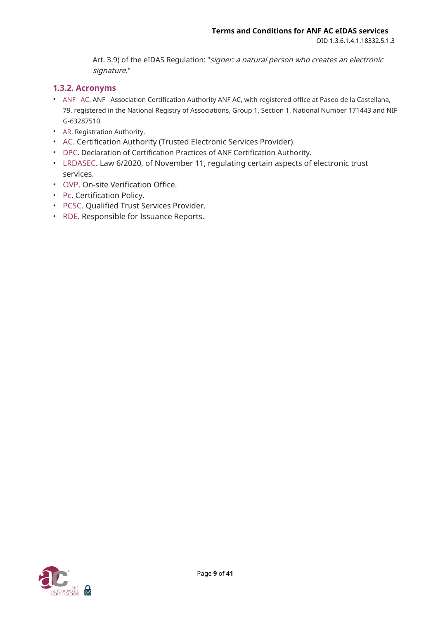Art. 3.9) of the eIDAS Regulation: "signer: a natural person who creates an electronic signature."

# <span id="page-8-0"></span>**1.3.2. Acronyms**

- ANF AC. ANF Association Certification Authority ANF AC, with registered office at Paseo de la Castellana, 79, registered in the National Registry of Associations, Group 1, Section 1, National Number 171443 and NIF G-63287510.
- AR. Registration Authority.
- AC. Certification Authority (Trusted Electronic Services Provider).
- DPC. Declaration of Certification Practices of ANF Certification Authority.
- LRDASEC. Law 6/2020, of November 11, regulating certain aspects of electronic trust services.
- OVP. On-site Verification Office.
- Pc. Certification Policy.
- PCSC. Qualified Trust Services Provider.
- RDE. Responsible for Issuance Reports.

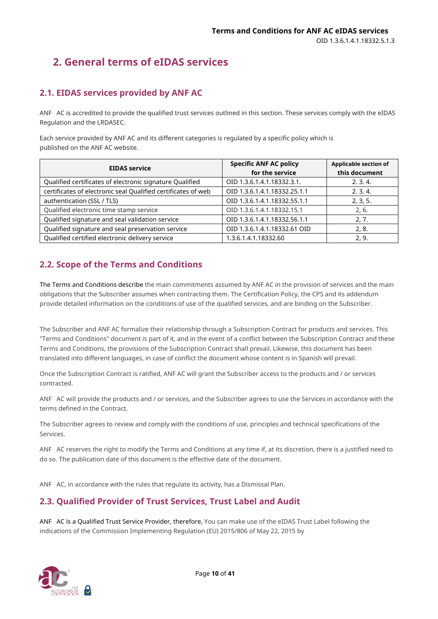# <span id="page-9-0"></span>**2. General terms of eIDAS services**

# <span id="page-9-1"></span>**2.1. EIDAS services provided by ANF AC**

ANF AC is accredited to provide the qualified trust services outlined in this section. These services comply with the eIDAS Regulation and the LRDASEC.

Each service provided by ANF AC and its different categories is regulated by a specific policy which is published on the ANF AC website.

| <b>EIDAS service</b>                                          | <b>Specific ANF AC policy</b><br>for the service | <b>Applicable section of</b><br>this document |
|---------------------------------------------------------------|--------------------------------------------------|-----------------------------------------------|
| Qualified certificates of electronic signature Qualified      | OID 1.3.6.1.4.1.18332.3.1.                       | 2, 3, 4                                       |
| certificates of electronic seal Qualified certificates of web | OID 1.3.6.1.4.1.18332.25.1.1                     | 2, 3, 4                                       |
| authentication (SSL / TLS)                                    | OID 1.3.6.1.4.1.18332.55.1.1                     | 2, 3, 5.                                      |
| Qualified electronic time stamp service                       | OID 1.3.6.1.4.1.18332.15.1                       | 2.6.                                          |
| Qualified signature and seal validation service               | OID 1.3.6.1.4.1.18332.56.1.1                     | 2.7.                                          |
| Qualified signature and seal preservation service             | OID 1.3.6.1.4.1.18332.61 OID                     | 2.8.                                          |
| Qualified certified electronic delivery service               | 1.3.6.1.4.1.18332.60                             | 2.9.                                          |

# <span id="page-9-2"></span>**2.2. Scope of the Terms and Conditions**

The Terms and Conditions describe the main commitments assumed by ANF AC in the provision of services and the main obligations that the Subscriber assumes when contracting them. The Certification Policy, the CPS and its addendum provide detailed information on the conditions of use of the qualified services, and are binding on the Subscriber.

The Subscriber and ANF AC formalize their relationship through a Subscription Contract for products and services. This "Terms and Conditions" document is part of it, and in the event of a conflict between the Subscription Contract and these Terms and Conditions, the provisions of the Subscription Contract shall prevail. Likewise, this document has been translated into different languages, in case of conflict the document whose content is in Spanish will prevail.

Once the Subscription Contract is ratified, ANF AC will grant the Subscriber access to the products and / or services contracted.

ANF AC will provide the products and / or services, and the Subscriber agrees to use the Services in accordance with the terms defined in the Contract.

The Subscriber agrees to review and comply with the conditions of use, principles and technical specifications of the Services.

ANF AC reserves the right to modify the Terms and Conditions at any time if, at its discretion, there is a justified need to do so. The publication date of this document is the effective date of the document.

ANF AC, in accordance with the rules that regulate its activity, has a Dismissal Plan.

# <span id="page-9-3"></span>**2.3. Qualified Provider of Trust Services, Trust Label and Audit**

ANF AC is a Qualified Trust Service Provider, therefore, You can make use of the eIDAS Trust Label following the indications of the Commission Implementing Regulation (EU) 2015/806 of May 22, 2015 by

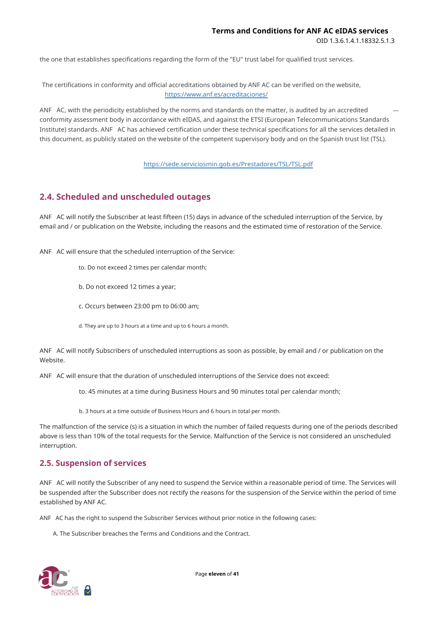the one that establishes specifications regarding the form of the "EU" trust label for qualified trust services.

The certifications in conformity and official accreditations obtained by ANF AC can be verified on the website, https://www.anf.es/acreditaciones/

ANF AC, with the periodicity established by the norms and standards on the matter, is audited by an accredited conformity assessment body in accordance with eIDAS, and against the ETSI (European Telecommunications Standards Institute) standards. ANF AC has achieved certification under these technical specifications for all the services detailed in this document, as publicly stated on the website of the competent supervisory body and on the Spanish trust list (TSL).

#### <https://sede.serviciosmin.gob.es/Prestadores/TSL/TSL.pdf>

# <span id="page-10-0"></span>**2.4. Scheduled and unscheduled outages**

ANF AC will notify the Subscriber at least fifteen (15) days in advance of the scheduled interruption of the Service, by email and / or publication on the Website, including the reasons and the estimated time of restoration of the Service.

ANF AC will ensure that the scheduled interruption of the Service:

- to. Do not exceed 2 times per calendar month;
- b. Do not exceed 12 times a year;
- c. Occurs between 23:00 pm to 06:00 am;
- d. They are up to 3 hours at a time and up to 6 hours a month.

ANF AC will notify Subscribers of unscheduled interruptions as soon as possible, by email and / or publication on the Website.

ANF AC will ensure that the duration of unscheduled interruptions of the Service does not exceed:

to. 45 minutes at a time during Business Hours and 90 minutes total per calendar month;

b. 3 hours at a time outside of Business Hours and 6 hours in total per month.

The malfunction of the service (s) is a situation in which the number of failed requests during one of the periods described above is less than 10% of the total requests for the Service. Malfunction of the Service is not considered an unscheduled interruption.

# <span id="page-10-1"></span>**2.5. Suspension of services**

ANF AC will notify the Subscriber of any need to suspend the Service within a reasonable period of time. The Services will be suspended after the Subscriber does not rectify the reasons for the suspension of the Service within the period of time established by ANF AC.

ANF AC has the right to suspend the Subscriber Services without prior notice in the following cases:

A. The Subscriber breaches the Terms and Conditions and the Contract.

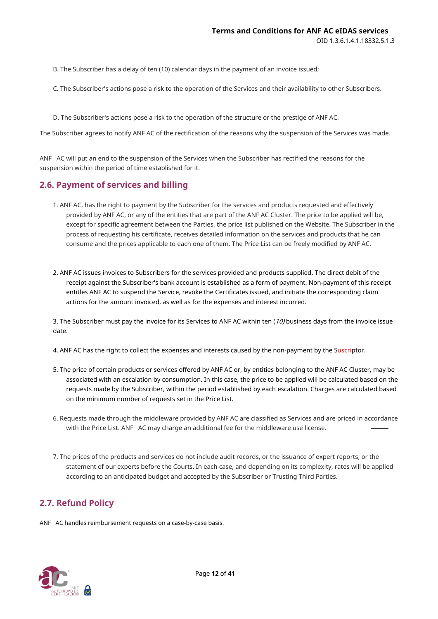B. The Subscriber has a delay of ten (10) calendar days in the payment of an invoice issued;

C. The Subscriber's actions pose a risk to the operation of the Services and their availability to other Subscribers.

D. The Subscriber's actions pose a risk to the operation of the structure or the prestige of ANF AC.

The Subscriber agrees to notify ANF AC of the rectification of the reasons why the suspension of the Services was made.

ANF AC will put an end to the suspension of the Services when the Subscriber has rectified the reasons for the suspension within the period of time established for it.

# <span id="page-11-0"></span>**2.6. Payment of services and billing**

- 1. ANF AC, has the right to payment by the Subscriber for the services and products requested and effectively provided by ANF AC, or any of the entities that are part of the ANF AC Cluster. The price to be applied will be, except for specific agreement between the Parties, the price list published on the Website. The Subscriber in the process of requesting his certificate, receives detailed information on the services and products that he can consume and the prices applicable to each one of them. The Price List can be freely modified by ANF AC.
- 2. ANF AC issues invoices to Subscribers for the services provided and products supplied. The direct debit of the receipt against the Subscriber's bank account is established as a form of payment. Non-payment of this receipt entitles ANF AC to suspend the Service, revoke the Certificates issued, and initiate the corresponding claim actions for the amount invoiced, as well as for the expenses and interest incurred.

3. The Subscriber must pay the invoice for its Services to ANF AC within ten (10) business days from the invoice issue date.

4. ANF AC has the right to collect the expenses and interests caused by the non-payment by the Suscriptor.

- 5. The price of certain products or services offered by ANF AC or, by entities belonging to the ANF AC Cluster, may be associated with an escalation by consumption. In this case, the price to be applied will be calculated based on the requests made by the Subscriber, within the period established by each escalation. Charges are calculated based on the minimum number of requests set in the Price List.
- 6. Requests made through the middleware provided by ANF AC are classified as Services and are priced in accordance with the Price List. ANF AC may charge an additional fee for the middleware use license.
- 7. The prices of the products and services do not include audit records, or the issuance of expert reports, or the statement of our experts before the Courts. In each case, and depending on its complexity, rates will be applied according to an anticipated budget and accepted by the Subscriber or Trusting Third Parties.

# <span id="page-11-1"></span>**2.7. Refund Policy**

ANF AC handles reimbursement requests on a case-by-case basis.

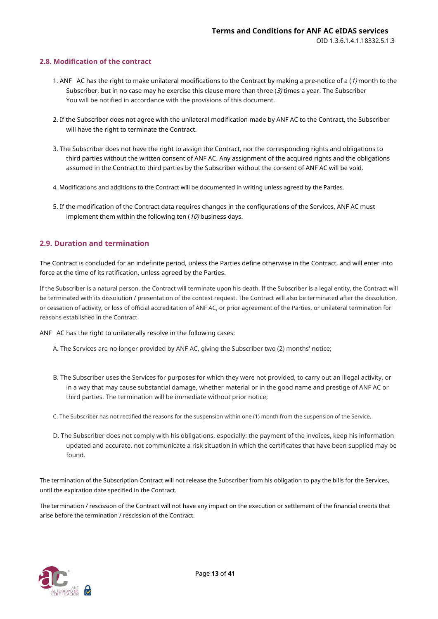#### <span id="page-12-0"></span>**2.8. Modification of the contract**

- 1. ANF AC has the right to make unilateral modifications to the Contract by making a pre-notice of a  $(1)$  month to the Subscriber, but in no case may he exercise this clause more than three (3) times a year. The Subscriber You will be notified in accordance with the provisions of this document.
- 2. If the Subscriber does not agree with the unilateral modification made by ANF AC to the Contract, the Subscriber will have the right to terminate the Contract.
- 3. The Subscriber does not have the right to assign the Contract, nor the corresponding rights and obligations to third parties without the written consent of ANF AC. Any assignment of the acquired rights and the obligations assumed in the Contract to third parties by the Subscriber without the consent of ANF AC will be void.
- 4. Modifications and additions to the Contract will be documented in writing unless agreed by the Parties.
- 5. If the modification of the Contract data requires changes in the configurations of the Services, ANF AC must implement them within the following ten  $(10)$  business days.

#### <span id="page-12-1"></span>**2.9. Duration and termination**

The Contract is concluded for an indefinite period, unless the Parties define otherwise in the Contract, and will enter into force at the time of its ratification, unless agreed by the Parties.

If the Subscriber is a natural person, the Contract will terminate upon his death. If the Subscriber is a legal entity, the Contract will be terminated with its dissolution / presentation of the contest request. The Contract will also be terminated after the dissolution, or cessation of activity, or loss of official accreditation of ANF AC, or prior agreement of the Parties, or unilateral termination for reasons established in the Contract.

#### ANF AC has the right to unilaterally resolve in the following cases:

- A. The Services are no longer provided by ANF AC, giving the Subscriber two (2) months' notice;
- B. The Subscriber uses the Services for purposes for which they were not provided, to carry out an illegal activity, or in a way that may cause substantial damage, whether material or in the good name and prestige of ANF AC or third parties. The termination will be immediate without prior notice;
- C. The Subscriber has not rectified the reasons for the suspension within one (1) month from the suspension of the Service.
- D. The Subscriber does not comply with his obligations, especially: the payment of the invoices, keep his information updated and accurate, not communicate a risk situation in which the certificates that have been supplied may be found.

The termination of the Subscription Contract will not release the Subscriber from his obligation to pay the bills for the Services, until the expiration date specified in the Contract.

The termination / rescission of the Contract will not have any impact on the execution or settlement of the financial credits that arise before the termination / rescission of the Contract.

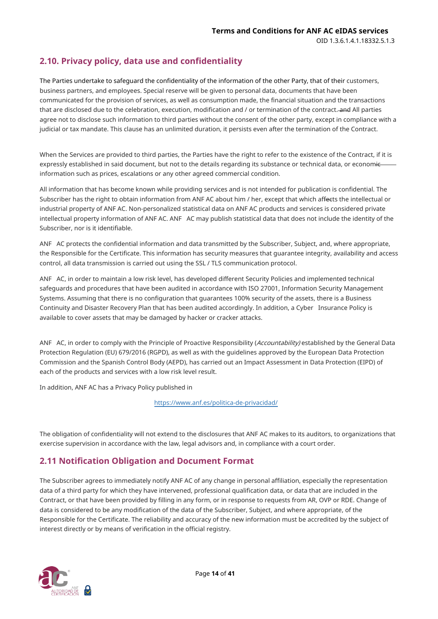# <span id="page-13-0"></span>**2.10. Privacy policy, data use and confidentiality**

The Parties undertake to safeguard the confidentiality of the information of the other Party, that of their customers, business partners, and employees. Special reserve will be given to personal data, documents that have been communicated for the provision of services, as well as consumption made, the financial situation and the transactions that are disclosed due to the celebration, execution, modification and / or termination of the contract. and All parties agree not to disclose such information to third parties without the consent of the other party, except in compliance with a judicial or tax mandate. This clause has an unlimited duration, it persists even after the termination of the Contract.

When the Services are provided to third parties, the Parties have the right to refer to the existence of the Contract, if it is expressly established in said document, but not to the details regarding its substance or technical data, or economicinformation such as prices, escalations or any other agreed commercial condition.

All information that has become known while providing services and is not intended for publication is confidential. The Subscriber has the right to obtain information from ANF AC about him / her, except that which affects the intellectual or industrial property of ANF AC. Non-personalized statistical data on ANF AC products and services is considered private intellectual property information of ANF AC. ANF AC may publish statistical data that does not include the identity of the Subscriber, nor is it identifiable.

ANF AC protects the confidential information and data transmitted by the Subscriber, Subject, and, where appropriate, the Responsible for the Certificate. This information has security measures that guarantee integrity, availability and access control, all data transmission is carried out using the SSL / TLS communication protocol.

ANF AC, in order to maintain a low risk level, has developed different Security Policies and implemented technical safeguards and procedures that have been audited in accordance with ISO 27001, Information Security Management Systems. Assuming that there is no configuration that guarantees 100% security of the assets, there is a Business Continuity and Disaster Recovery Plan that has been audited accordingly. In addition, a Cyber Insurance Policy is available to cover assets that may be damaged by hacker or cracker attacks.

ANF AC, in order to comply with the Principle of Proactive Responsibility (Accountability) established by the General Data Protection Regulation (EU) 679/2016 (RGPD), as well as with the guidelines approved by the European Data Protection Commission and the Spanish Control Body (AEPD), has carried out an Impact Assessment in Data Protection (EIPD) of each of the products and services with a low risk level result.

In addition, ANF AC has a Privacy Policy published in

<https://www.anf.es/politica-de-privacidad/>

The obligation of confidentiality will not extend to the disclosures that ANF AC makes to its auditors, to organizations that exercise supervision in accordance with the law, legal advisors and, in compliance with a court order.

# <span id="page-13-1"></span>**2.11 Notification Obligation and Document Format**

The Subscriber agrees to immediately notify ANF AC of any change in personal affiliation, especially the representation data of a third party for which they have intervened, professional qualification data, or data that are included in the Contract, or that have been provided by filling in any form, or in response to requests from AR, OVP or RDE. Change of data is considered to be any modification of the data of the Subscriber, Subject, and where appropriate, of the Responsible for the Certificate. The reliability and accuracy of the new information must be accredited by the subject of interest directly or by means of verification in the official registry.

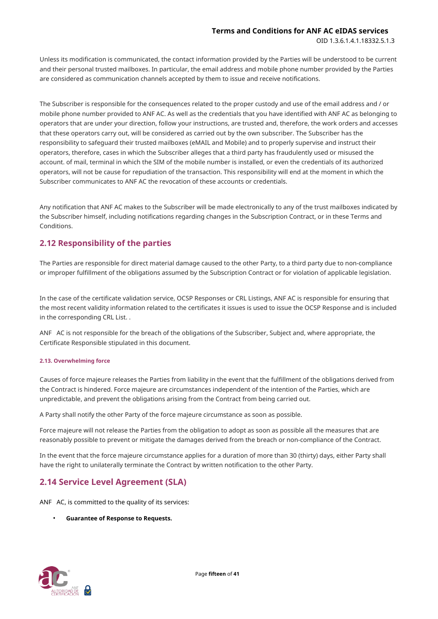OID 1.3.6.1.4.1.18332.5.1.3

Unless its modification is communicated, the contact information provided by the Parties will be understood to be current and their personal trusted mailboxes. In particular, the email address and mobile phone number provided by the Parties are considered as communication channels accepted by them to issue and receive notifications.

The Subscriber is responsible for the consequences related to the proper custody and use of the email address and / or mobile phone number provided to ANF AC. As well as the credentials that you have identified with ANF AC as belonging to operators that are under your direction, follow your instructions, are trusted and, therefore, the work orders and accesses that these operators carry out, will be considered as carried out by the own subscriber. The Subscriber has the responsibility to safeguard their trusted mailboxes (eMAIL and Mobile) and to properly supervise and instruct their operators, therefore, cases in which the Subscriber alleges that a third party has fraudulently used or misused the account. of mail, terminal in which the SIM of the mobile number is installed, or even the credentials of its authorized operators, will not be cause for repudiation of the transaction. This responsibility will end at the moment in which the Subscriber communicates to ANF AC the revocation of these accounts or credentials.

Any notification that ANF AC makes to the Subscriber will be made electronically to any of the trust mailboxes indicated by the Subscriber himself, including notifications regarding changes in the Subscription Contract, or in these Terms and Conditions.

# <span id="page-14-0"></span>**2.12 Responsibility of the parties**

The Parties are responsible for direct material damage caused to the other Party, to a third party due to non-compliance or improper fulfillment of the obligations assumed by the Subscription Contract or for violation of applicable legislation.

In the case of the certificate validation service, OCSP Responses or CRL Listings, ANF AC is responsible for ensuring that the most recent validity information related to the certificates it issues is used to issue the OCSP Response and is included in the corresponding CRL List. .

ANF AC is not responsible for the breach of the obligations of the Subscriber, Subject and, where appropriate, the Certificate Responsible stipulated in this document.

#### <span id="page-14-1"></span>**2.13. Overwhelming force**

Causes of force majeure releases the Parties from liability in the event that the fulfillment of the obligations derived from the Contract is hindered. Force majeure are circumstances independent of the intention of the Parties, which are unpredictable, and prevent the obligations arising from the Contract from being carried out.

A Party shall notify the other Party of the force majeure circumstance as soon as possible.

Force majeure will not release the Parties from the obligation to adopt as soon as possible all the measures that are reasonably possible to prevent or mitigate the damages derived from the breach or non-compliance of the Contract.

In the event that the force majeure circumstance applies for a duration of more than 30 (thirty) days, either Party shall have the right to unilaterally terminate the Contract by written notification to the other Party.

# <span id="page-14-2"></span>**2.14 Service Level Agreement (SLA)**

ANF AC, is committed to the quality of its services:

• **Guarantee of Response to Requests.**

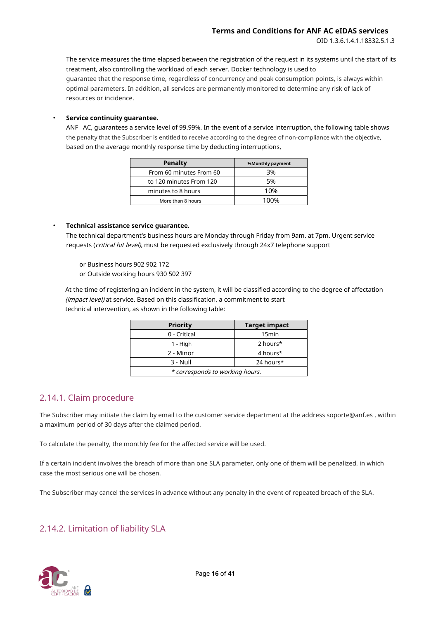OID 1.3.6.1.4.1.18332.5.1.3

The service measures the time elapsed between the registration of the request in its systems until the start of its treatment, also controlling the workload of each server. Docker technology is used to guarantee that the response time, regardless of concurrency and peak consumption points, is always within optimal parameters. In addition, all services are permanently monitored to determine any risk of lack of resources or incidence.

#### • **Service continuity guarantee.**

ANF AC, guarantees a service level of 99.99%. In the event of a service interruption, the following table shows the penalty that the Subscriber is entitled to receive according to the degree of non-compliance with the objective, based on the average monthly response time by deducting interruptions,

| Penalty                 | <b>%Monthly payment</b> |
|-------------------------|-------------------------|
| From 60 minutes From 60 | 3%                      |
| to 120 minutes From 120 | .5%                     |
| minutes to 8 hours      | 10%                     |
| More than 8 hours       | 100%                    |

#### • **Technical assistance service guarantee.**

The technical department's business hours are Monday through Friday from 9am. at 7pm. Urgent service requests (critical hit level), must be requested exclusively through 24x7 telephone support

or Business hours 902 902 172

or Outside working hours 930 502 397

At the time of registering an incident in the system, it will be classified according to the degree of affectation (impact level) at service. Based on this classification, a commitment to start technical intervention, as shown in the following table:

| <b>Priority</b>                 | <b>Target impact</b> |  |
|---------------------------------|----------------------|--|
| 0 - Critical                    | 15 <sub>min</sub>    |  |
| 1 - High                        | 2 hours*             |  |
| 2 - Minor                       | 4 hours*             |  |
| $3 - Null$                      | 24 hours*            |  |
| * corresponds to working hours. |                      |  |

# 2.14.1. Claim procedure

The Subscriber may initiate the claim by email to the customer service department at the address soporte@anf.es , within a maximum period of 30 days after the claimed period.

To calculate the penalty, the monthly fee for the affected service will be used.

If a certain incident involves the breach of more than one SLA parameter, only one of them will be penalized, in which case the most serious one will be chosen.

The Subscriber may cancel the services in advance without any penalty in the event of repeated breach of the SLA.

# 2.14.2. Limitation of liability SLA

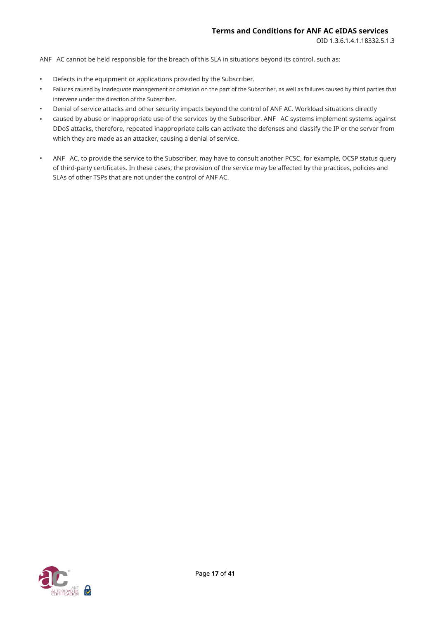ANF AC cannot be held responsible for the breach of this SLA in situations beyond its control, such as:

- Defects in the equipment or applications provided by the Subscriber.
- Failures caused by inadequate management or omission on the part of the Subscriber, as well as failures caused by third parties that intervene under the direction of the Subscriber.
- Denial of service attacks and other security impacts beyond the control of ANF AC. Workload situations directly •
- caused by abuse or inappropriate use of the services by the Subscriber. ANF AC systems implement systems against DDoS attacks, therefore, repeated inappropriate calls can activate the defenses and classify the IP or the server from which they are made as an attacker, causing a denial of service. •
- ANF AC, to provide the service to the Subscriber, may have to consult another PCSC, for example, OCSP status query of third-party certificates. In these cases, the provision of the service may be affected by the practices, policies and SLAs of other TSPs that are not under the control of ANF AC. •

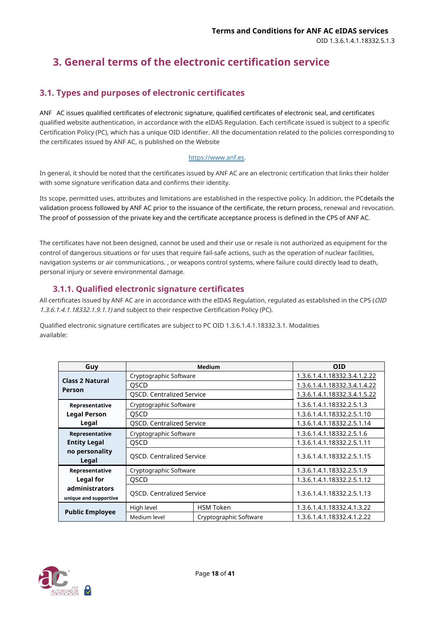# <span id="page-17-0"></span>**3. General terms of the electronic certification service**

# <span id="page-17-1"></span>**3.1. Types and purposes of electronic certificates**

ANF AC issues qualified certificates of electronic signature, qualified certificates of electronic seal, and certificates qualified website authentication, in accordance with the eIDAS Regulation. Each certificate issued is subject to a specific Certification Policy (PC), which has a unique OID identifier. All the documentation related to the policies corresponding to the certificates issued by ANF AC, is published on the Website

#### [https://www.anf.es.](https://www.anf.es/)

In general, it should be noted that the certificates issued by ANF AC are an electronic certification that links their holder with some signature verification data and confirms their identity.

Its scope, permitted uses, attributes and limitations are established in the respective policy. In addition, the PCdetails the validation process followed by ANF AC prior to the issuance of the certificate, the return process, renewal and revocation. The proof of possession of the private key and the certificate acceptance process is defined in the CPS of ANF AC.

The certificates have not been designed, cannot be used and their use or resale is not authorized as equipment for the control of dangerous situations or for uses that require fail-safe actions, such as the operation of nuclear facilities, navigation systems or air communications. , or weapons control systems, where failure could directly lead to death, personal injury or severe environmental damage.

# **3.1.1. Qualified electronic signature certificates**

<span id="page-17-2"></span>All certificates issued by ANF AC are in accordance with the eIDAS Regulation, regulated as established in the CPS (OID 1.3.6.1.4.1.18332.1.9.1.1) and subject to their respective Certification Policy (PC).

Qualified electronic signature certificates are subject to PC OID 1.3.6.1.4.1.18332.3.1. Modalities available:

| Guy                             | <b>Medium</b>                    |                            | <b>OID</b>                   |
|---------------------------------|----------------------------------|----------------------------|------------------------------|
| <b>Class 2 Natural</b>          | Cryptographic Software           |                            | 1.3.6.1.4.1.18332.3.4.1.2.22 |
| Person                          | <b>OSCD</b>                      |                            | 1.3.6.1.4.1.18332.3.4.1.4.22 |
|                                 | <b>QSCD. Centralized Service</b> |                            | 1.3.6.1.4.1.18332.3.4.1.5.22 |
| Representative                  | Cryptographic Software           |                            | 1.3.6.1.4.1.18332.2.5.1.3    |
| <b>Legal Person</b>             | <b>OSCD</b>                      |                            | 1.3.6.1.4.1.18332.2.5.1.10   |
| Legal                           | <b>QSCD. Centralized Service</b> |                            | 1.3.6.1.4.1.18332.2.5.1.14   |
| Representative                  | Cryptographic Software           |                            | 1.3.6.1.4.1.18332.2.5.1.6    |
| <b>Entity Legal</b>             | <b>OSCD</b>                      |                            | 1.3.6.1.4.1.18332.2.5.1.11   |
| no personality<br>Legal         | <b>QSCD. Centralized Service</b> |                            | 1.3.6.1.4.1.18332.2.5.1.15   |
| Representative                  | Cryptographic Software           |                            | 1.3.6.1.4.1.18332.2.5.1.9    |
| <b>Legal for</b><br><b>OSCD</b> |                                  | 1.3.6.1.4.1.18332.2.5.1.12 |                              |
| administrators                  |                                  |                            |                              |
| unique and supportive           | <b>QSCD. Centralized Service</b> |                            | 1.3.6.1.4.1.18332.2.5.1.13   |
|                                 | High level                       | <b>HSM Token</b>           | 1.3.6.1.4.1.18332.4.1.3.22   |
| <b>Public Employee</b>          | Medium level                     | Cryptographic Software     | 1.3.6.1.4.1.18332.4.1.2.22   |

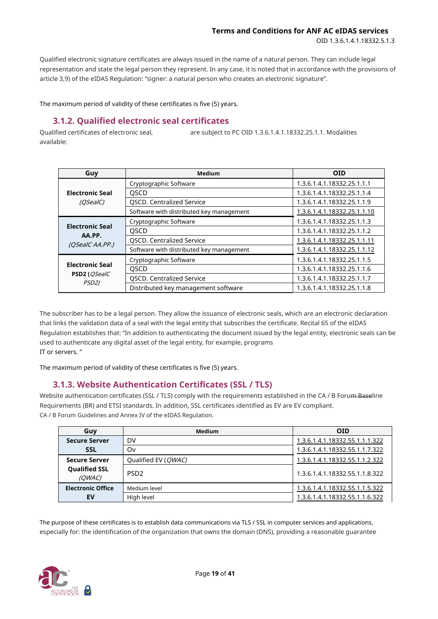**Terms and Conditions for ANF AC eIDAS services**

OID 1.3.6.1.4.1.18332.5.1.3

Qualified electronic signature certificates are always issued in the name of a natural person. They can include legal representation and state the legal person they represent. In any case, it is noted that in accordance with the provisions of article 3,9) of the eIDAS Regulation: "signer: a natural person who creates an electronic signature".

The maximum period of validity of these certificates is five (5) years.

# **3.1.2. Qualified electronic seal certificates**

<span id="page-18-0"></span>Qualified certificates of electronic seal, are subject to PC OID 1.3.6.1.4.1.18332.25.1.1. Modalities available:

| Guy                         | Medium                                   | <b>OID</b>                  |
|-----------------------------|------------------------------------------|-----------------------------|
|                             | Cryptographic Software                   | 1.3.6.1.4.1.18332.25.1.1.1  |
| <b>Electronic Seal</b>      | <b>OSCD</b>                              | 1.3.6.1.4.1.18332.25.1.1.4  |
| (OSealC)                    | <b>QSCD. Centralized Service</b>         | 1.3.6.1.4.1.18332.25.1.1.9  |
|                             | Software with distributed key management | 1.3.6.1.4.1.18332.25.1.1.10 |
|                             | Cryptographic Software                   | 1.3.6.1.4.1.18332.25.1.1.3  |
| <b>Electronic Seal</b>      | <b>OSCD</b>                              | 1.3.6.1.4.1.18332.25.1.1.2  |
| AA.PP.<br>(OSealC AA.PP.)   | QSCD. Centralized Service                | 1.3.6.1.4.1.18332.25.1.1.11 |
|                             | Software with distributed key management | 1.3.6.1.4.1.18332.25.1.1.12 |
|                             | Cryptographic Software                   | 1.3.6.1.4.1.18332.25.1.1.5  |
| <b>Electronic Seal</b>      | QSCD                                     | 1.3.6.1.4.1.18332.25.1.1.6  |
| <b>PSD2</b> ( <i>OSealC</i> | <b>QSCD. Centralized Service</b>         | 1.3.6.1.4.1.18332.25.1.1.7  |
| PSD <sub>2</sub> )          | Distributed key management software      | 1.3.6.1.4.1.18332.25.1.1.8  |

The subscriber has to be a legal person. They allow the issuance of electronic seals, which are an electronic declaration that links the validation data of a seal with the legal entity that subscribes the certificate. Recital 65 of the eIDAS Regulation establishes that: "In addition to authenticating the document issued by the legal entity, electronic seals can be used to authenticate any digital asset of the legal entity, for example, programs IT or servers. "

The maximum period of validity of these certificates is five (5) years.

# **3.1.3. Website Authentication Certificates (SSL / TLS)**

<span id="page-18-1"></span>Website authentication certificates (SSL / TLS) comply with the requirements established in the CA / B Forum Baseline Requirements (BR) and ETSI standards. In addition, SSL certificates identified as EV are EV compliant. CA / B Forum Guidelines and Annex IV of the eIDAS Regulation.

| Guy                            | <b>Medium</b>                | <b>OID</b>                     |
|--------------------------------|------------------------------|--------------------------------|
| <b>Secure Server</b>           | DV                           | 1.3.6.1.4.1.18332.55.1.1.1.322 |
| <b>SSL</b>                     | Ov                           | 1.3.6.1.4.1.18332.55.1.1.7.322 |
| <b>Secure Server</b>           | Qualified EV ( <i>QWAC</i> ) | 1.3.6.1.4.1.18332.55.1.1.2.322 |
| <b>Qualified SSL</b><br>(OWAC) | PSD <sub>2</sub>             | 1.3.6.1.4.1.18332.55.1.1.8.322 |
| <b>Electronic Office</b>       | Medium level                 | 1.3.6.1.4.1.18332.55.1.1.5.322 |
| EV                             | High level                   | 1.3.6.1.4.1.18332.55.1.1.6.322 |

The purpose of these certificates is to establish data communications via TLS / SSL in computer services and applications, especially for: the identification of the organization that owns the domain (DNS), providing a reasonable guarantee

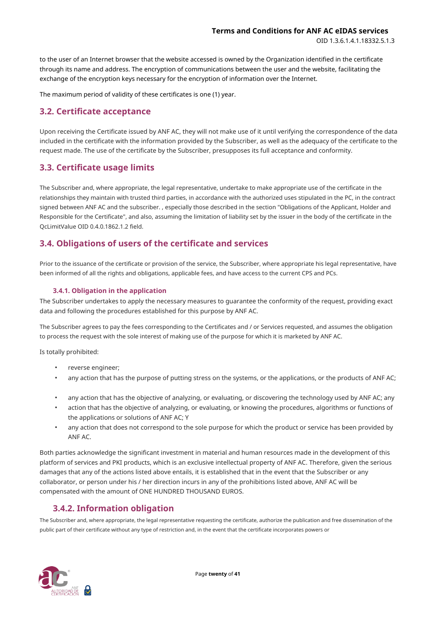to the user of an Internet browser that the website accessed is owned by the Organization identified in the certificate through its name and address. The encryption of communications between the user and the website, facilitating the exchange of the encryption keys necessary for the encryption of information over the Internet.

The maximum period of validity of these certificates is one (1) year.

# <span id="page-19-0"></span>**3.2. Certificate acceptance**

Upon receiving the Certificate issued by ANF AC, they will not make use of it until verifying the correspondence of the data included in the certificate with the information provided by the Subscriber, as well as the adequacy of the certificate to the request made. The use of the certificate by the Subscriber, presupposes its full acceptance and conformity.

# <span id="page-19-1"></span>**3.3. Certificate usage limits**

The Subscriber and, where appropriate, the legal representative, undertake to make appropriate use of the certificate in the relationships they maintain with trusted third parties, in accordance with the authorized uses stipulated in the PC, in the contract signed between ANF AC and the subscriber. , especially those described in the section "Obligations of the Applicant, Holder and Responsible for the Certificate", and also, assuming the limitation of liability set by the issuer in the body of the certificate in the QcLimitValue OID 0.4.0.1862.1.2 field.

# <span id="page-19-2"></span>**3.4. Obligations of users of the certificate and services**

Prior to the issuance of the certificate or provision of the service, the Subscriber, where appropriate his legal representative, have been informed of all the rights and obligations, applicable fees, and have access to the current CPS and PCs.

#### **3.4.1. Obligation in the application**

<span id="page-19-3"></span>The Subscriber undertakes to apply the necessary measures to guarantee the conformity of the request, providing exact data and following the procedures established for this purpose by ANF AC.

The Subscriber agrees to pay the fees corresponding to the Certificates and / or Services requested, and assumes the obligation to process the request with the sole interest of making use of the purpose for which it is marketed by ANF AC.

Is totally prohibited:

- reverse engineer;
- any action that has the purpose of putting stress on the systems, or the applications, or the products of ANF AC;
- any action that has the objective of analyzing, or evaluating, or discovering the technology used by ANF AC; any •
- action that has the objective of analyzing, or evaluating, or knowing the procedures, algorithms or functions of the applications or solutions of ANF AC; Y •
- any action that does not correspond to the sole purpose for which the product or service has been provided by ANF AC. •

Both parties acknowledge the significant investment in material and human resources made in the development of this platform of services and PKI products, which is an exclusive intellectual property of ANF AC. Therefore, given the serious damages that any of the actions listed above entails, it is established that in the event that the Subscriber or any collaborator, or person under his / her direction incurs in any of the prohibitions listed above, ANF AC will be compensated with the amount of ONE HUNDRED THOUSAND EUROS.

# **3.4.2. Information obligation**

<span id="page-19-4"></span>The Subscriber and, where appropriate, the legal representative requesting the certificate, authorize the publication and free dissemination of the public part of their certificate without any type of restriction and, in the event that the certificate incorporates powers or

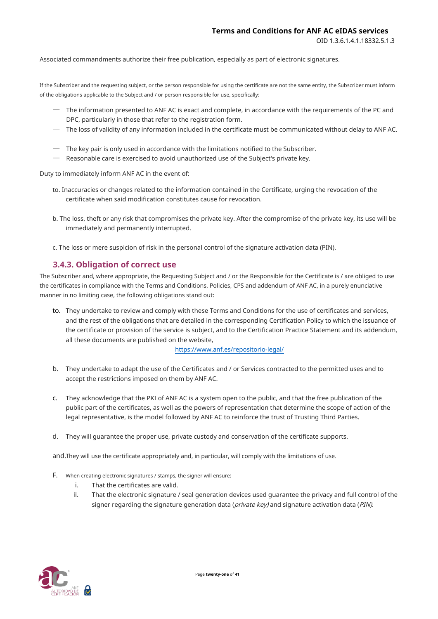Associated commandments authorize their free publication, especially as part of electronic signatures.

If the Subscriber and the requesting subject, or the person responsible for using the certificate are not the same entity, the Subscriber must inform of the obligations applicable to the Subject and / or person responsible for use, specifically:

- ─ The information presented to ANF AC is exact and complete, in accordance with the requirements of the PC and DPC, particularly in those that refer to the registration form.
- $-$  The loss of validity of any information included in the certificate must be communicated without delay to ANF AC.
- $-$  The key pair is only used in accordance with the limitations notified to the Subscriber.
- $\,$  Reasonable care is exercised to avoid unauthorized use of the Subject's private key.

Duty to immediately inform ANF AC in the event of:

- to. Inaccuracies or changes related to the information contained in the Certificate, urging the revocation of the certificate when said modification constitutes cause for revocation.
- b. The loss, theft or any risk that compromises the private key. After the compromise of the private key, its use will be immediately and permanently interrupted.
- c. The loss or mere suspicion of risk in the personal control of the signature activation data (PIN).

#### **3.4.3. Obligation of correct use**

<span id="page-20-0"></span>The Subscriber and, where appropriate, the Requesting Subject and / or the Responsible for the Certificate is / are obliged to use the certificates in compliance with the Terms and Conditions, Policies, CPS and addendum of ANF AC, in a purely enunciative manner in no limiting case, the following obligations stand out:

to. They undertake to review and comply with these Terms and Conditions for the use of certificates and services, and the rest of the obligations that are detailed in the corresponding Certification Policy to which the issuance of the certificate or provision of the service is subject, and to the Certification Practice Statement and its addendum, all these documents are published on the website,

<https://www.anf.es/repositorio-legal/>

- b. They undertake to adapt the use of the Certificates and / or Services contracted to the permitted uses and to accept the restrictions imposed on them by ANF AC.
- c. They acknowledge that the PKI of ANF AC is a system open to the public, and that the free publication of the public part of the certificates, as well as the powers of representation that determine the scope of action of the legal representative, is the model followed by ANF AC to reinforce the trust of Trusting Third Parties.
- d. They will guarantee the proper use, private custody and conservation of the certificate supports.

and.They will use the certificate appropriately and, in particular, will comply with the limitations of use.

- F. When creating electronic signatures / stamps, the signer will ensure:
	- i. That the certificates are valid.
	- ii. That the electronic signature / seal generation devices used guarantee the privacy and full control of the signer regarding the signature generation data ( $\textit{private}$  key) and signature activation data (PIN).

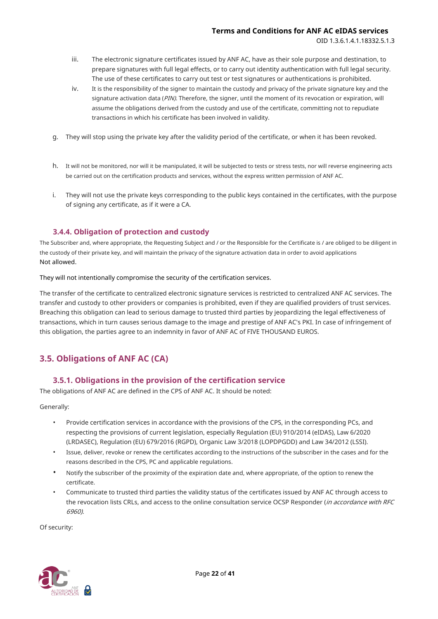- iii. The electronic signature certificates issued by ANF AC, have as their sole purpose and destination, to prepare signatures with full legal effects, or to carry out identity authentication with full legal security. The use of these certificates to carry out test or test signatures or authentications is prohibited.
- It is the responsibility of the signer to maintain the custody and privacy of the private signature key and the signature activation data (PIN). Therefore, the signer, until the moment of its revocation or expiration, will assume the obligations derived from the custody and use of the certificate, committing not to repudiate transactions in which his certificate has been involved in validity. iv.
- g. They will stop using the private key after the validity period of the certificate, or when it has been revoked.
- h. It will not be monitored, nor will it be manipulated, it will be subjected to tests or stress tests, nor will reverse engineering acts be carried out on the certification products and services, without the express written permission of ANF AC.
- i. They will not use the private keys corresponding to the public keys contained in the certificates, with the purpose of signing any certificate, as if it were a CA.

#### **3.4.4. Obligation of protection and custody**

<span id="page-21-0"></span>The Subscriber and, where appropriate, the Requesting Subject and / or the Responsible for the Certificate is / are obliged to be diligent in the custody of their private key, and will maintain the privacy of the signature activation data in order to avoid applications Not allowed.

They will not intentionally compromise the security of the certification services.

The transfer of the certificate to centralized electronic signature services is restricted to centralized ANF AC services. The transfer and custody to other providers or companies is prohibited, even if they are qualified providers of trust services. Breaching this obligation can lead to serious damage to trusted third parties by jeopardizing the legal effectiveness of transactions, which in turn causes serious damage to the image and prestige of ANF AC's PKI. In case of infringement of this obligation, the parties agree to an indemnity in favor of ANF AC of FIVE THOUSAND EUROS.

# <span id="page-21-1"></span>**3.5. Obligations of ANF AC (CA)**

#### **3.5.1. Obligations in the provision of the certification service**

<span id="page-21-2"></span>The obligations of ANF AC are defined in the CPS of ANF AC. It should be noted:

Generally:

- Provide certification services in accordance with the provisions of the CPS, in the corresponding PCs, and respecting the provisions of current legislation, especially Regulation (EU) 910/2014 (eIDAS), Law 6/2020 (LRDASEC), Regulation (EU) 679/2016 (RGPD), Organic Law 3/2018 (LOPDPGDD) and Law 34/2012 (LSSI).
- Issue, deliver, revoke or renew the certificates according to the instructions of the subscriber in the cases and for the reasons described in the CPS, PC and applicable regulations. •
- Notify the subscriber of the proximity of the expiration date and, where appropriate, of the option to renew the certificate.
- Communicate to trusted third parties the validity status of the certificates issued by ANF AC through access to the revocation lists CRLs, and access to the online consultation service OCSP Responder (in accordance with RFC 6960). •

Of security:

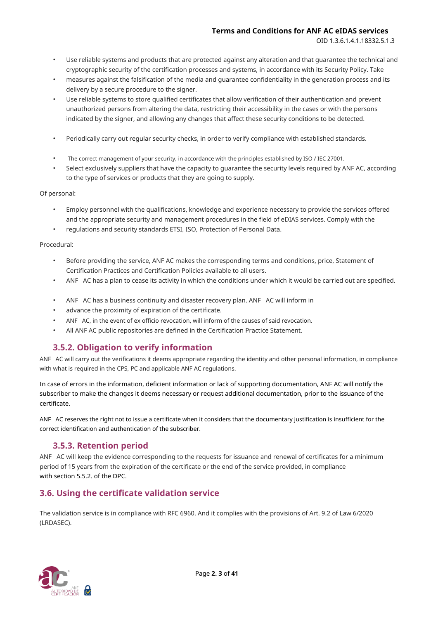OID 1.3.6.1.4.1.18332.5.1.3

- Use reliable systems and products that are protected against any alteration and that guarantee the technical and cryptographic security of the certification processes and systems, in accordance with its Security Policy. Take
- measures against the falsification of the media and guarantee confidentiality in the generation process and its delivery by a secure procedure to the signer. •
- Use reliable systems to store qualified certificates that allow verification of their authentication and prevent unauthorized persons from altering the data, restricting their accessibility in the cases or with the persons indicated by the signer, and allowing any changes that affect these security conditions to be detected. •
- Periodically carry out regular security checks, in order to verify compliance with established standards. •
- The correct management of your security, in accordance with the principles established by ISO / IEC 27001. •
- Select exclusively suppliers that have the capacity to guarantee the security levels required by ANF AC, according to the type of services or products that they are going to supply. •

Of personal:

- Employ personnel with the qualifications, knowledge and experience necessary to provide the services offered and the appropriate security and management procedures in the field of eDIAS services. Comply with the
- regulations and security standards ETSI, ISO, Protection of Personal Data.

#### Procedural:

- Before providing the service, ANF AC makes the corresponding terms and conditions, price, Statement of Certification Practices and Certification Policies available to all users.
- ANF AC has a plan to cease its activity in which the conditions under which it would be carried out are specified. •
- ANF AC has a business continuity and disaster recovery plan. ANF AC will inform in •
- advance the proximity of expiration of the certificate. •
- ANF AC, in the event of ex officio revocation, will inform of the causes of said revocation. •
- All ANF AC public repositories are defined in the Certification Practice Statement. •

# **3.5.2. Obligation to verify information**

<span id="page-22-0"></span>ANF AC will carry out the verifications it deems appropriate regarding the identity and other personal information, in compliance with what is required in the CPS, PC and applicable ANF AC regulations.

In case of errors in the information, deficient information or lack of supporting documentation, ANF AC will notify the subscriber to make the changes it deems necessary or request additional documentation, prior to the issuance of the certificate.

ANF AC reserves the right not to issue a certificate when it considers that the documentary justification is insufficient for the correct identification and authentication of the subscriber.

# **3.5.3. Retention period**

<span id="page-22-1"></span>ANF AC will keep the evidence corresponding to the requests for issuance and renewal of certificates for a minimum period of 15 years from the expiration of the certificate or the end of the service provided, in compliance with section 5.5.2. of the DPC.

# <span id="page-22-2"></span>**3.6. Using the certificate validation service**

The validation service is in compliance with RFC 6960. And it complies with the provisions of Art. 9.2 of Law 6/2020 (LRDASEC).

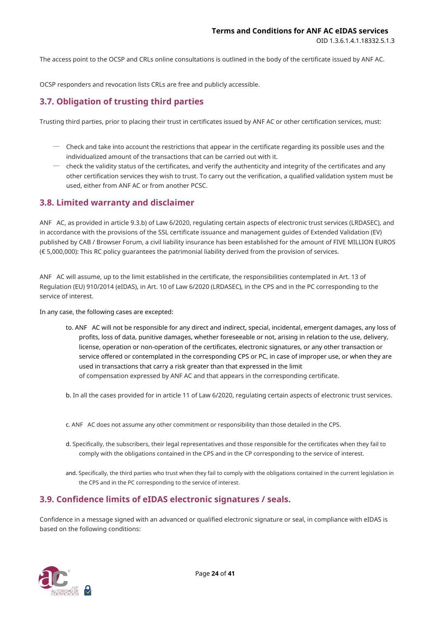The access point to the OCSP and CRLs online consultations is outlined in the body of the certificate issued by ANF AC.

OCSP responders and revocation lists CRLs are free and publicly accessible.

# <span id="page-23-0"></span>**3.7. Obligation of trusting third parties**

Trusting third parties, prior to placing their trust in certificates issued by ANF AC or other certification services, must:

- $-$  Check and take into account the restrictions that appear in the certificate regarding its possible uses and the individualized amount of the transactions that can be carried out with it.
- $\,$  check the validity status of the certificates, and verify the authenticity and integrity of the certificates and any other certification services they wish to trust. To carry out the verification, a qualified validation system must be used, either from ANF AC or from another PCSC.

# <span id="page-23-1"></span>**3.8. Limited warranty and disclaimer**

ANF AC, as provided in article 9.3.b) of Law 6/2020, regulating certain aspects of electronic trust services (LRDASEC), and in accordance with the provisions of the SSL certificate issuance and management guides of Extended Validation (EV) published by CAB / Browser Forum, a civil liability insurance has been established for the amount of FIVE MILLION EUROS (€ 5,000,000): This RC policy guarantees the patrimonial liability derived from the provision of services.

ANF AC will assume, up to the limit established in the certificate, the responsibilities contemplated in Art. 13 of Regulation (EU) 910/2014 (eIDAS), in Art. 10 of Law 6/2020 (LRDASEC), in the CPS and in the PC corresponding to the service of interest.

In any case, the following cases are excepted:

- to. ANF AC will not be responsible for any direct and indirect, special, incidental, emergent damages, any loss of profits, loss of data, punitive damages, whether foreseeable or not, arising in relation to the use, delivery, license, operation or non-operation of the certificates, electronic signatures, or any other transaction or service offered or contemplated in the corresponding CPS or PC, in case of improper use, or when they are used in transactions that carry a risk greater than that expressed in the limit of compensation expressed by ANF AC and that appears in the corresponding certificate.
- b. In all the cases provided for in article 11 of Law 6/2020, regulating certain aspects of electronic trust services.
- c. ANF AC does not assume any other commitment or responsibility than those detailed in the CPS.
- d. Specifically, the subscribers, their legal representatives and those responsible for the certificates when they fail to comply with the obligations contained in the CPS and in the CP corresponding to the service of interest.
- and. Specifically, the third parties who trust when they fail to comply with the obligations contained in the current legislation in the CPS and in the PC corresponding to the service of interest.

# <span id="page-23-2"></span>**3.9. Confidence limits of eIDAS electronic signatures / seals.**

Confidence in a message signed with an advanced or qualified electronic signature or seal, in compliance with eIDAS is based on the following conditions:

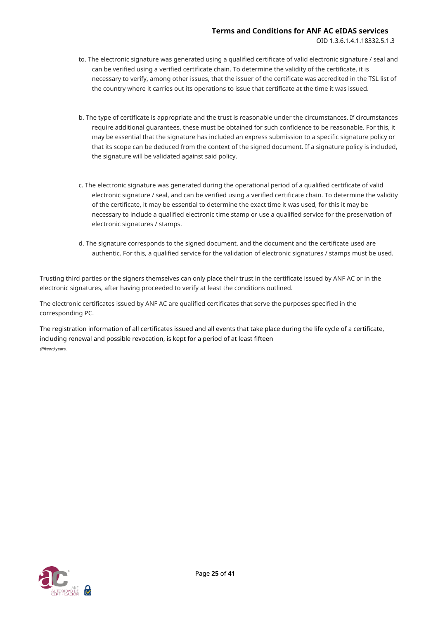- to. The electronic signature was generated using a qualified certificate of valid electronic signature / seal and can be verified using a verified certificate chain. To determine the validity of the certificate, it is necessary to verify, among other issues, that the issuer of the certificate was accredited in the TSL list of the country where it carries out its operations to issue that certificate at the time it was issued.
- b. The type of certificate is appropriate and the trust is reasonable under the circumstances. If circumstances require additional guarantees, these must be obtained for such confidence to be reasonable. For this, it may be essential that the signature has included an express submission to a specific signature policy or that its scope can be deduced from the context of the signed document. If a signature policy is included, the signature will be validated against said policy.
- c. The electronic signature was generated during the operational period of a qualified certificate of valid electronic signature / seal, and can be verified using a verified certificate chain. To determine the validity of the certificate, it may be essential to determine the exact time it was used, for this it may be necessary to include a qualified electronic time stamp or use a qualified service for the preservation of electronic signatures / stamps.
- d. The signature corresponds to the signed document, and the document and the certificate used are authentic. For this, a qualified service for the validation of electronic signatures / stamps must be used.

Trusting third parties or the signers themselves can only place their trust in the certificate issued by ANF AC or in the electronic signatures, after having proceeded to verify at least the conditions outlined.

The electronic certificates issued by ANF AC are qualified certificates that serve the purposes specified in the corresponding PC.

The registration information of all certificates issued and all events that take place during the life cycle of a certificate, including renewal and possible revocation, is kept for a period of at least fifteen (fifteen) years.

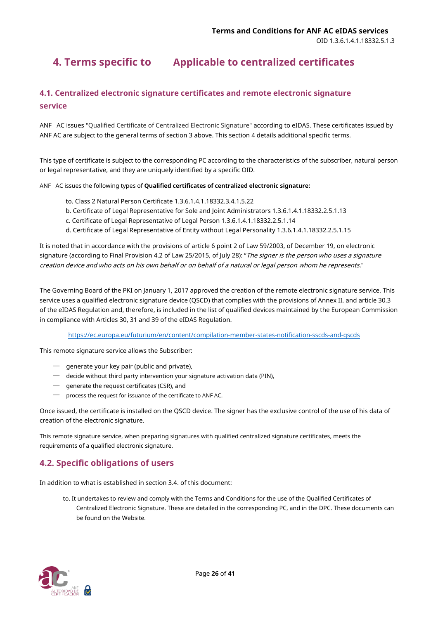# <span id="page-25-0"></span>**4. Terms specific to Applicable to centralized certificates**

# <span id="page-25-1"></span>**4.1. Centralized electronic signature certificates and remote electronic signature service**

ANF AC issues "Qualified Certificate of Centralized Electronic Signature" according to eIDAS. These certificates issued by ANF AC are subject to the general terms of section 3 above. This section 4 details additional specific terms.

This type of certificate is subject to the corresponding PC according to the characteristics of the subscriber, natural person or legal representative, and they are uniquely identified by a specific OID.

ANF AC issues the following types of **Qualified certificates of centralized electronic signature:**

- to. Class 2 Natural Person Certificate 1.3.6.1.4.1.18332.3.4.1.5.22
- b. Certificate of Legal Representative for Sole and Joint Administrators 1.3.6.1.4.1.18332.2.5.1.13
- c. Certificate of Legal Representative of Legal Person 1.3.6.1.4.1.18332.2.5.1.14
- d. Certificate of Legal Representative of Entity without Legal Personality 1.3.6.1.4.1.18332.2.5.1.15

It is noted that in accordance with the provisions of article 6 point 2 of Law 59/2003, of December 19, on electronic signature (according to Final Provision 4.2 of Law 25/2015, of July 28): "The signer is the person who uses a signature creation device and who acts on his own behalf or on behalf of a natural or legal person whom he represents."

The Governing Board of the PKI on January 1, 2017 approved the creation of the remote electronic signature service. This service uses a qualified electronic signature device (QSCD) that complies with the provisions of Annex II, and article 30.3 of the eIDAS Regulation and, therefore, is included in the list of qualified devices maintained by the European Commission in compliance with Articles 30, 31 and 39 of the eIDAS Regulation.

<https://ec.europa.eu/futurium/en/content/compilation-member-states-notification-sscds-and-qscds>

This remote signature service allows the Subscriber:

- ─ generate your key pair (public and private),
- ─ decide without third party intervention your signature activation data (PIN),
- ─ generate the request certificates (CSR), and
- ─ process the request for issuance of the certificate to ANF AC.

Once issued, the certificate is installed on the QSCD device. The signer has the exclusive control of the use of his data of creation of the electronic signature.

This remote signature service, when preparing signatures with qualified centralized signature certificates, meets the requirements of a qualified electronic signature.

# <span id="page-25-2"></span>**4.2. Specific obligations of users**

In addition to what is established in section 3.4. of this document:

to. It undertakes to review and comply with the Terms and Conditions for the use of the Qualified Certificates of Centralized Electronic Signature. These are detailed in the corresponding PC, and in the DPC. These documents can be found on the Website.

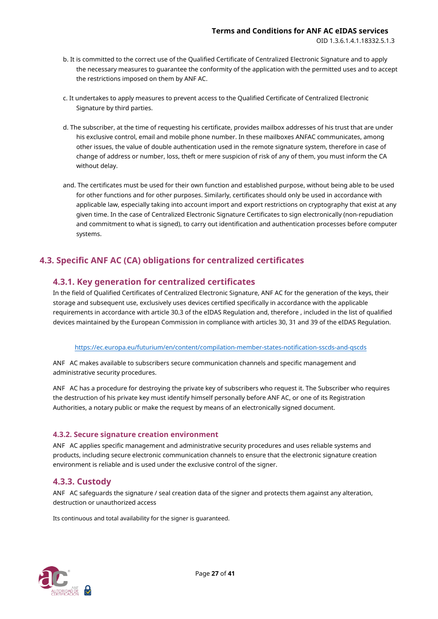- b. It is committed to the correct use of the Qualified Certificate of Centralized Electronic Signature and to apply the necessary measures to guarantee the conformity of the application with the permitted uses and to accept the restrictions imposed on them by ANF AC.
- c. It undertakes to apply measures to prevent access to the Qualified Certificate of Centralized Electronic Signature by third parties.
- d. The subscriber, at the time of requesting his certificate, provides mailbox addresses of his trust that are under his exclusive control, email and mobile phone number. In these mailboxes ANFAC communicates, among other issues, the value of double authentication used in the remote signature system, therefore in case of change of address or number, loss, theft or mere suspicion of risk of any of them, you must inform the CA without delay.
- and. The certificates must be used for their own function and established purpose, without being able to be used for other functions and for other purposes. Similarly, certificates should only be used in accordance with applicable law, especially taking into account import and export restrictions on cryptography that exist at any given time. In the case of Centralized Electronic Signature Certificates to sign electronically (non-repudiation and commitment to what is signed), to carry out identification and authentication processes before computer systems.

# <span id="page-26-0"></span>**4.3. Specific ANF AC (CA) obligations for centralized certificates**

# <span id="page-26-1"></span>**4.3.1. Key generation for centralized certificates**

In the field of Qualified Certificates of Centralized Electronic Signature, ANF AC for the generation of the keys, their storage and subsequent use, exclusively uses devices certified specifically in accordance with the applicable requirements in accordance with article 30.3 of the eIDAS Regulation and, therefore , included in the list of qualified devices maintained by the European Commission in compliance with articles 30, 31 and 39 of the eIDAS Regulation.

#### <https://ec.europa.eu/futurium/en/content/compilation-member-states-notification-sscds-and-qscds>

ANF AC makes available to subscribers secure communication channels and specific management and administrative security procedures.

ANF AC has a procedure for destroying the private key of subscribers who request it. The Subscriber who requires the destruction of his private key must identify himself personally before ANF AC, or one of its Registration Authorities, a notary public or make the request by means of an electronically signed document.

#### <span id="page-26-2"></span>**4.3.2. Secure signature creation environment**

ANF AC applies specific management and administrative security procedures and uses reliable systems and products, including secure electronic communication channels to ensure that the electronic signature creation environment is reliable and is used under the exclusive control of the signer.

# <span id="page-26-3"></span>**4.3.3. Custody**

ANF AC safeguards the signature / seal creation data of the signer and protects them against any alteration, destruction or unauthorized access

Its continuous and total availability for the signer is guaranteed.

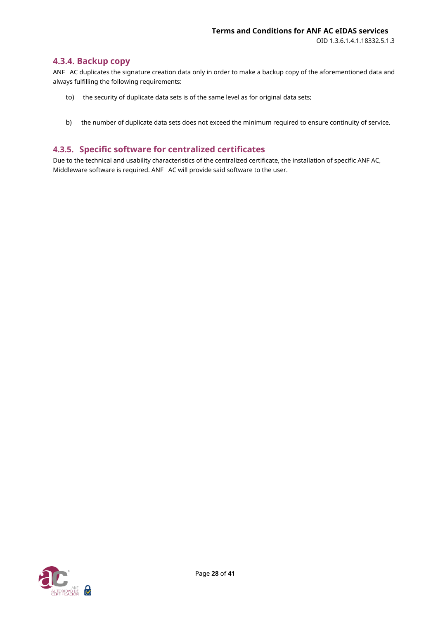#### <span id="page-27-0"></span>**4.3.4. Backup copy**

ANF AC duplicates the signature creation data only in order to make a backup copy of the aforementioned data and always fulfilling the following requirements:

- to) the security of duplicate data sets is of the same level as for original data sets;
- b) the number of duplicate data sets does not exceed the minimum required to ensure continuity of service.

# <span id="page-27-1"></span>**4.3.5. Specific software for centralized certificates**

Due to the technical and usability characteristics of the centralized certificate, the installation of specific ANF AC, Middleware software is required. ANF AC will provide said software to the user.

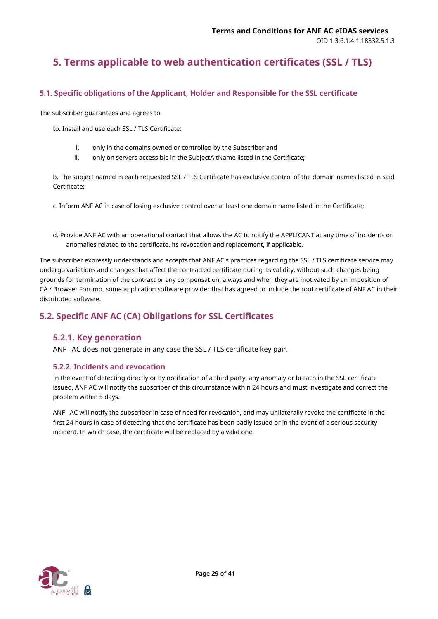# <span id="page-28-0"></span>**5. Terms applicable to web authentication certificates (SSL / TLS)**

# <span id="page-28-1"></span>**5.1. Specific obligations of the Applicant, Holder and Responsible for the SSL certificate**

The subscriber guarantees and agrees to:

to. Install and use each SSL / TLS Certificate:

- i. only in the domains owned or controlled by the Subscriber and
- ii. only on servers accessible in the SubjectAltName listed in the Certificate;

b. The subject named in each requested SSL / TLS Certificate has exclusive control of the domain names listed in said Certificate;

c. Inform ANF AC in case of losing exclusive control over at least one domain name listed in the Certificate;

d. Provide ANF AC with an operational contact that allows the AC to notify the APPLICANT at any time of incidents or anomalies related to the certificate, its revocation and replacement, if applicable.

The subscriber expressly understands and accepts that ANF AC's practices regarding the SSL / TLS certificate service may undergo variations and changes that affect the contracted certificate during its validity, without such changes being grounds for termination of the contract or any compensation, always and when they are motivated by an imposition of CA / Browser Forumo, some application software provider that has agreed to include the root certificate of ANF AC in their distributed software.

# <span id="page-28-2"></span>**5.2. Specific ANF AC (CA) Obligations for SSL Certificates**

# <span id="page-28-3"></span>**5.2.1. Key generation**

ANF AC does not generate in any case the SSL / TLS certificate key pair.

#### <span id="page-28-4"></span>**5.2.2. Incidents and revocation**

In the event of detecting directly or by notification of a third party, any anomaly or breach in the SSL certificate issued, ANF AC will notify the subscriber of this circumstance within 24 hours and must investigate and correct the problem within 5 days.

ANF AC will notify the subscriber in case of need for revocation, and may unilaterally revoke the certificate in the first 24 hours in case of detecting that the certificate has been badly issued or in the event of a serious security incident. In which case, the certificate will be replaced by a valid one.

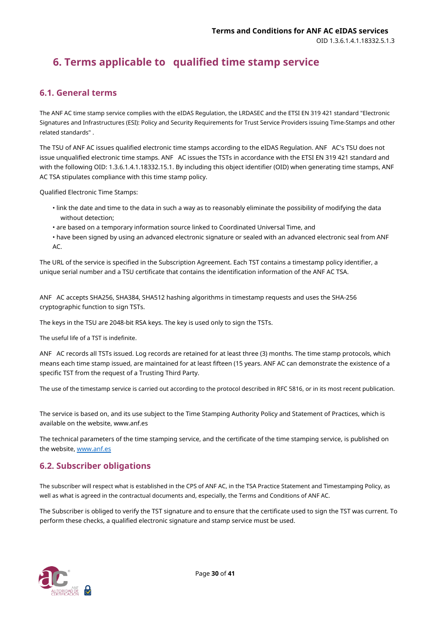# <span id="page-29-0"></span>**6. Terms applicable to qualified time stamp service**

# <span id="page-29-1"></span>**6.1. General terms**

The ANF AC time stamp service complies with the eIDAS Regulation, the LRDASEC and the ETSI EN 319 421 standard "Electronic Signatures and Infrastructures (ESI): Policy and Security Requirements for Trust Service Providers issuing Time-Stamps and other related standards" .

The TSU of ANF AC issues qualified electronic time stamps according to the eIDAS Regulation. ANF AC's TSU does not issue unqualified electronic time stamps. ANF AC issues the TSTs in accordance with the ETSI EN 319 421 standard and with the following OID: 1.3.6.1.4.1.18332.15.1. By including this object identifier (OID) when generating time stamps, ANF AC TSA stipulates compliance with this time stamp policy.

Qualified Electronic Time Stamps:

- link the date and time to the data in such a way as to reasonably eliminate the possibility of modifying the data without detection;
- are based on a temporary information source linked to Coordinated Universal Time, and
- have been signed by using an advanced electronic signature or sealed with an advanced electronic seal from ANF AC.

The URL of the service is specified in the Subscription Agreement. Each TST contains a timestamp policy identifier, a unique serial number and a TSU certificate that contains the identification information of the ANF AC TSA.

ANF AC accepts SHA256, SHA384, SHA512 hashing algorithms in timestamp requests and uses the SHA-256 cryptographic function to sign TSTs.

The keys in the TSU are 2048-bit RSA keys. The key is used only to sign the TSTs.

The useful life of a TST is indefinite.

ANF AC records all TSTs issued. Log records are retained for at least three (3) months. The time stamp protocols, which means each time stamp issued, are maintained for at least fifteen (15 years. ANF AC can demonstrate the existence of a specific TST from the request of a Trusting Third Party.

The use of the timestamp service is carried out according to the protocol described in RFC 5816, or in its most recent publication.

The service is based on, and its use subject to the Time Stamping Authority Policy and Statement of Practices, which is available on the website, www.anf.es

The technical parameters of the time stamping service, and the certificate of the time stamping service, is published on the website, [www.anf.es](http://www.anf.es/)

# <span id="page-29-2"></span>**6.2. Subscriber obligations**

The subscriber will respect what is established in the CPS of ANF AC, in the TSA Practice Statement and Timestamping Policy, as well as what is agreed in the contractual documents and, especially, the Terms and Conditions of ANF AC.

The Subscriber is obliged to verify the TST signature and to ensure that the certificate used to sign the TST was current. To perform these checks, a qualified electronic signature and stamp service must be used.

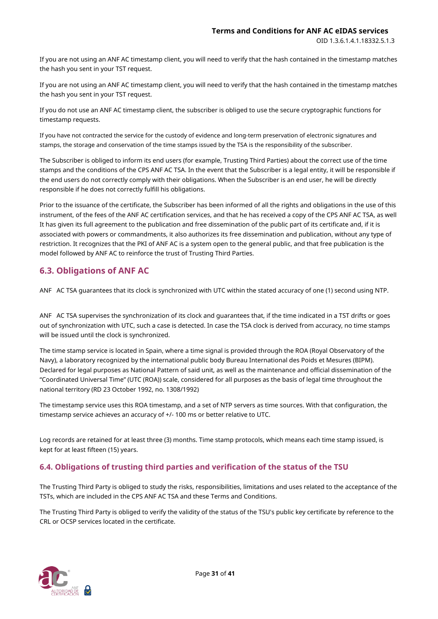If you are not using an ANF AC timestamp client, you will need to verify that the hash contained in the timestamp matches the hash you sent in your TST request.

If you are not using an ANF AC timestamp client, you will need to verify that the hash contained in the timestamp matches the hash you sent in your TST request.

If you do not use an ANF AC timestamp client, the subscriber is obliged to use the secure cryptographic functions for timestamp requests.

If you have not contracted the service for the custody of evidence and long-term preservation of electronic signatures and stamps, the storage and conservation of the time stamps issued by the TSA is the responsibility of the subscriber.

The Subscriber is obliged to inform its end users (for example, Trusting Third Parties) about the correct use of the time stamps and the conditions of the CPS ANF AC TSA. In the event that the Subscriber is a legal entity, it will be responsible if the end users do not correctly comply with their obligations. When the Subscriber is an end user, he will be directly responsible if he does not correctly fulfill his obligations.

Prior to the issuance of the certificate, the Subscriber has been informed of all the rights and obligations in the use of this instrument, of the fees of the ANF AC certification services, and that he has received a copy of the CPS ANF AC TSA, as well It has given its full agreement to the publication and free dissemination of the public part of its certificate and, if it is associated with powers or commandments, it also authorizes its free dissemination and publication, without any type of restriction. It recognizes that the PKI of ANF AC is a system open to the general public, and that free publication is the model followed by ANF AC to reinforce the trust of Trusting Third Parties.

# <span id="page-30-0"></span>**6.3. Obligations of ANF AC**

ANF AC TSA guarantees that its clock is synchronized with UTC within the stated accuracy of one (1) second using NTP.

ANF AC TSA supervises the synchronization of its clock and guarantees that, if the time indicated in a TST drifts or goes out of synchronization with UTC, such a case is detected. In case the TSA clock is derived from accuracy, no time stamps will be issued until the clock is synchronized.

The time stamp service is located in Spain, where a time signal is provided through the ROA (Royal Observatory of the Navy), a laboratory recognized by the international public body Bureau International des Poids et Mesures (BIPM). Declared for legal purposes as National Pattern of said unit, as well as the maintenance and official dissemination of the "Coordinated Universal Time" (UTC (ROA)) scale, considered for all purposes as the basis of legal time throughout the national territory (RD 23 October 1992, no. 1308/1992)

The timestamp service uses this ROA timestamp, and a set of NTP servers as time sources. With that configuration, the timestamp service achieves an accuracy of +/- 100 ms or better relative to UTC.

Log records are retained for at least three (3) months. Time stamp protocols, which means each time stamp issued, is kept for at least fifteen (15) years.

# <span id="page-30-1"></span>**6.4. Obligations of trusting third parties and verification of the status of the TSU**

The Trusting Third Party is obliged to study the risks, responsibilities, limitations and uses related to the acceptance of the TSTs, which are included in the CPS ANF AC TSA and these Terms and Conditions.

The Trusting Third Party is obliged to verify the validity of the status of the TSU's public key certificate by reference to the CRL or OCSP services located in the certificate.

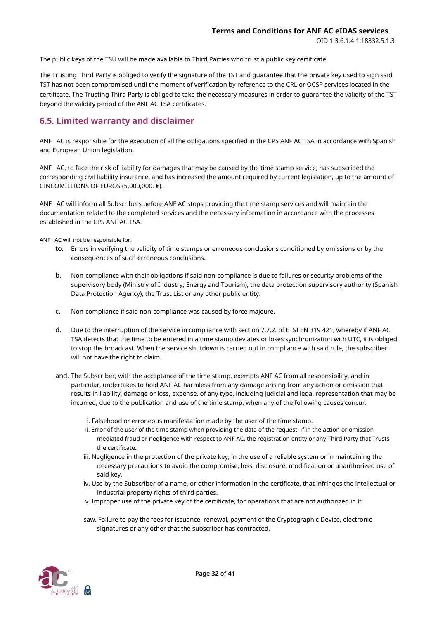The public keys of the TSU will be made available to Third Parties who trust a public key certificate.

The Trusting Third Party is obliged to verify the signature of the TST and guarantee that the private key used to sign said TST has not been compromised until the moment of verification by reference to the CRL or OCSP services located in the certificate. The Trusting Third Party is obliged to take the necessary measures in order to guarantee the validity of the TST beyond the validity period of the ANF AC TSA certificates.

# <span id="page-31-0"></span>**6.5. Limited warranty and disclaimer**

ANF AC is responsible for the execution of all the obligations specified in the CPS ANF AC TSA in accordance with Spanish and European Union legislation.

ANF AC, to face the risk of liability for damages that may be caused by the time stamp service, has subscribed the corresponding civil liability insurance, and has increased the amount required by current legislation, up to the amount of CINCOMILLIONS OF EUROS (5,000,000.  $\epsilon$ ).

ANF AC will inform all Subscribers before ANF AC stops providing the time stamp services and will maintain the documentation related to the completed services and the necessary information in accordance with the processes established in the CPS ANF AC TSA.

ANF AC will not be responsible for:

- to. Errors in verifying the validity of time stamps or erroneous conclusions conditioned by omissions or by the consequences of such erroneous conclusions.
- b. Non-compliance with their obligations if said non-compliance is due to failures or security problems of the supervisory body (Ministry of Industry, Energy and Tourism), the data protection supervisory authority (Spanish Data Protection Agency), the Trust List or any other public entity.
- c. Non-compliance if said non-compliance was caused by force majeure.
- d. Due to the interruption of the service in compliance with section 7.7.2. of ETSI EN 319 421, whereby if ANF AC TSA detects that the time to be entered in a time stamp deviates or loses synchronization with UTC, it is obliged to stop the broadcast. When the service shutdown is carried out in compliance with said rule, the subscriber will not have the right to claim.
- and. The Subscriber, with the acceptance of the time stamp, exempts ANF AC from all responsibility, and in particular, undertakes to hold ANF AC harmless from any damage arising from any action or omission that results in liability, damage or loss, expense. of any type, including judicial and legal representation that may be incurred, due to the publication and use of the time stamp, when any of the following causes concur:
	- i. Falsehood or erroneous manifestation made by the user of the time stamp.
	- ii. Error of the user of the time stamp when providing the data of the request, if in the action or omission mediated fraud or negligence with respect to ANF AC, the registration entity or any Third Party that Trusts the certificate.
	- iii. Negligence in the protection of the private key, in the use of a reliable system or in maintaining the necessary precautions to avoid the compromise, loss, disclosure, modification or unauthorized use of said key.
	- iv. Use by the Subscriber of a name, or other information in the certificate, that infringes the intellectual or industrial property rights of third parties.
	- v. Improper use of the private key of the certificate, for operations that are not authorized in it.
	- saw. Failure to pay the fees for issuance, renewal, payment of the Cryptographic Device, electronic signatures or any other that the subscriber has contracted.

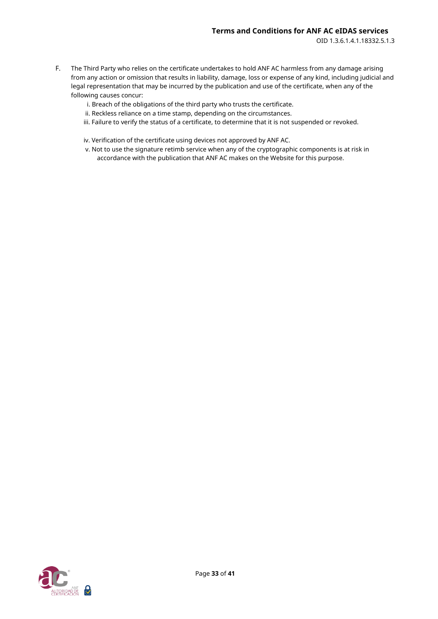- F. The Third Party who relies on the certificate undertakes to hold ANF AC harmless from any damage arising from any action or omission that results in liability, damage, loss or expense of any kind, including judicial and legal representation that may be incurred by the publication and use of the certificate, when any of the following causes concur:
	- i. Breach of the obligations of the third party who trusts the certificate.
	- ii. Reckless reliance on a time stamp, depending on the circumstances.
	- iii. Failure to verify the status of a certificate, to determine that it is not suspended or revoked.

iv. Verification of the certificate using devices not approved by ANF AC.

v. Not to use the signature retimb service when any of the cryptographic components is at risk in accordance with the publication that ANF AC makes on the Website for this purpose.

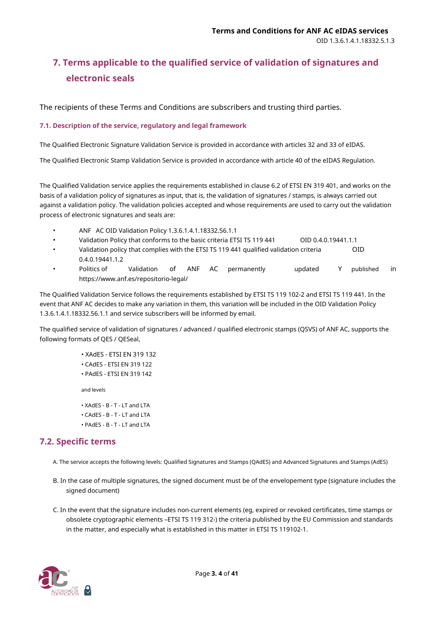# <span id="page-33-0"></span>**7. Terms applicable to the qualified service of validation of signatures and electronic seals**

The recipients of these Terms and Conditions are subscribers and trusting third parties.

#### <span id="page-33-1"></span>**7.1. Description of the service, regulatory and legal framework**

The Qualified Electronic Signature Validation Service is provided in accordance with articles 32 and 33 of eIDAS.

The Qualified Electronic Stamp Validation Service is provided in accordance with article 40 of the eIDAS Regulation.

The Qualified Validation service applies the requirements established in clause 6.2 of ETSI EN 319 401, and works on the basis of a validation policy of signatures as input, that is, the validation of signatures / stamps, is always carried out against a validation policy. The validation policies accepted and whose requirements are used to carry out the validation process of electronic signatures and seals are:

- ANF AC OID Validation Policy 1.3.6.1.4.1.18332.56.1.1
- Validation Policy that conforms to the basic criteria ETSI TS 119 441 OID 0.4.0.19441.1.1
- Validation policy that complies with the ETSI TS 119 441 qualified validation criteria 0.4.0.19441.1.2 OID
- Politics of https://www.anf.es/repositorio-legal/ • Validation of ANF AC permanently updated Y published in

The Qualified Validation Service follows the requirements established by ETSI TS 119 102-2 and ETSI TS 119 441. In the event that ANF AC decides to make any variation in them, this variation will be included in the OID Validation Policy 1.3.6.1.4.1.18332.56.1.1 and service subscribers will be informed by email.

The qualified service of validation of signatures / advanced / qualified electronic stamps (QSVS) of ANF AC, supports the following formats of QES / QESeal,

> • XAdES - ETSI EN 319 132 • CAdES - ETSI EN 319 122 • PAdES - ETSI EN 319 142 and levels • XAdES - B - T - LT and LTA • CAdES - B - T - LT and LTA • PAdES - B - T - LT and LTA

# <span id="page-33-2"></span>**7.2. Specific terms**

- A. The service accepts the following levels: Qualified Signatures and Stamps (QAdES) and Advanced Signatures and Stamps (AdES)
- B. In the case of multiple signatures, the signed document must be of the envelopement type (signature includes the signed document)
- C. In the event that the signature includes non-current elements (eg, expired or revoked certificates, time stamps or obsolete cryptographic elements –ETSI TS 119 312-) the criteria published by the EU Commission and standards in the matter, and especially what is established in this matter in ETSI TS 119102-1.

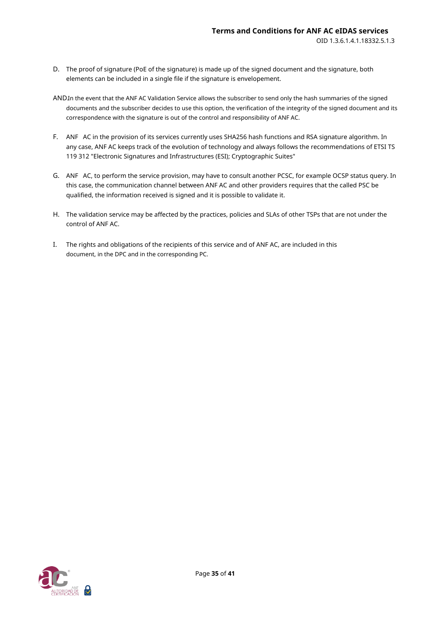- D. The proof of signature (PoE of the signature) is made up of the signed document and the signature, both elements can be included in a single file if the signature is envelopement.
- AND.In the event that the ANF AC Validation Service allows the subscriber to send only the hash summaries of the signed documents and the subscriber decides to use this option, the verification of the integrity of the signed document and its correspondence with the signature is out of the control and responsibility of ANF AC.
- F. ANF AC in the provision of its services currently uses SHA256 hash functions and RSA signature algorithm. In any case, ANF AC keeps track of the evolution of technology and always follows the recommendations of ETSI TS 119 312 "Electronic Signatures and Infrastructures (ESI); Cryptographic Suites"
- G. ANF AC, to perform the service provision, may have to consult another PCSC, for example OCSP status query. In this case, the communication channel between ANF AC and other providers requires that the called PSC be qualified, the information received is signed and it is possible to validate it.
- H. The validation service may be affected by the practices, policies and SLAs of other TSPs that are not under the control of ANF AC.
- I. The rights and obligations of the recipients of this service and of ANF AC, are included in this document, in the DPC and in the corresponding PC.

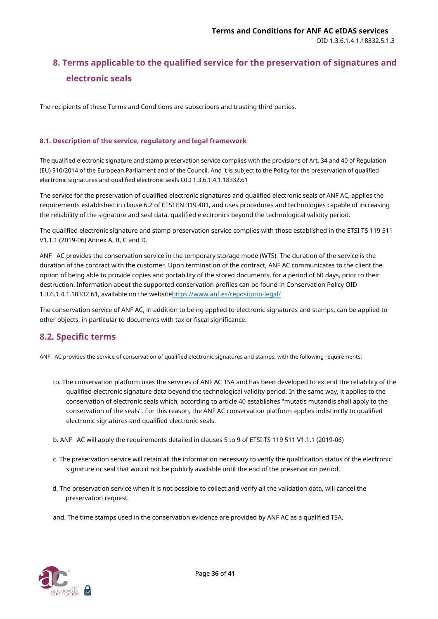# <span id="page-35-0"></span>**8. Terms applicable to the qualified service for the preservation of signatures and electronic seals**

The recipients of these Terms and Conditions are subscribers and trusting third parties.

#### <span id="page-35-1"></span>**8.1. Description of the service, regulatory and legal framework**

The qualified electronic signature and stamp preservation service complies with the provisions of Art. 34 and 40 of Regulation (EU) 910/2014 of the European Parliament and of the Council. And it is subject to the Policy for the preservation of qualified electronic signatures and qualified electronic seals OID 1.3.6.1.4.1.18332.61

The service for the preservation of qualified electronic signatures and qualified electronic seals of ANF AC, applies the requirements established in clause 6.2 of ETSI EN 319 401, and uses procedures and technologies capable of increasing the reliability of the signature and seal data. qualified electronics beyond the technological validity period.

The qualified electronic signature and stamp preservation service complies with those established in the ETSI TS 119 511 V1.1.1 (2019-06) Annex A, B, C and D.

ANF AC provides the conservation service in the temporary storage mode (WTS). The duration of the service is the duration of the contract with the customer. Upon termination of the contract, ANF AC communicates to the client the option of being able to provide copies and portability of the stored documents, for a period of 60 days, prior to their destruction. Information about the supported conservation profiles can be found in Conservation Policy OID 1.3.6.1.4.1.18332.61, available on the websitehttps:/[/www.anf.es/repositorio-legal/](https://www.anf.es/repositorio-legal/)

The conservation service of ANF AC, in addition to being applied to electronic signatures and stamps, can be applied to other objects, in particular to documents with tax or fiscal significance.

# <span id="page-35-2"></span>**8.2. Specific terms**

ANF AC provides the service of conservation of qualified electronic signatures and stamps, with the following requirements:

- to. The conservation platform uses the services of ANF AC TSA and has been developed to extend the reliability of the qualified electronic signature data beyond the technological validity period. In the same way, it applies to the conservation of electronic seals which, according to article 40 establishes "mutatis mutandis shall apply to the conservation of the seals". For this reason, the ANF AC conservation platform applies indistinctly to qualified electronic signatures and qualified electronic seals.
- b. ANF AC will apply the requirements detailed in clauses 5 to 9 of ETSI TS 119 511 V1.1.1 (2019-06)
- c. The preservation service will retain all the information necessary to verify the qualification status of the electronic signature or seal that would not be publicly available until the end of the preservation period.
- d. The preservation service when it is not possible to collect and verify all the validation data, will cancel the preservation request.

and. The time stamps used in the conservation evidence are provided by ANF AC as a qualified TSA.

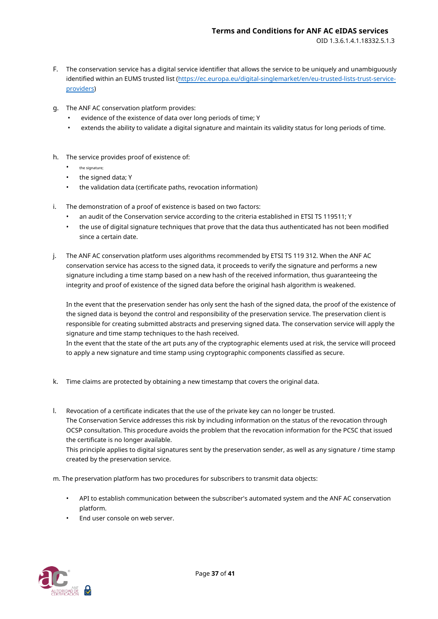- F. The conservation service has a digital service identifier that allows the service to be uniquely and unambiguously identified within an EUMS trusted list (https://ec.europa.eu/digital-singlemar[ket/en/eu-trusted-lists-trust-service](https://ec.europa.eu/digital-single-market/en/eu-trusted-lists-trust-service-providers)[providers\)](https://ec.europa.eu/digital-single-market/en/eu-trusted-lists-trust-service-providers)
- g. The ANF AC conservation platform provides:
	- evidence of the existence of data over long periods of time; Y
	- extends the ability to validate a digital signature and maintain its validity status for long periods of time.
- h. The service provides proof of existence of:
	- the signature:
	- the signed data; Y
	- the validation data (certificate paths, revocation information)
- i. The demonstration of a proof of existence is based on two factors:
	- an audit of the Conservation service according to the criteria established in ETSI TS 119511; Y
	- the use of digital signature techniques that prove that the data thus authenticated has not been modified since a certain date.
- j. The ANF AC conservation platform uses algorithms recommended by ETSI TS 119 312. When the ANF AC conservation service has access to the signed data, it proceeds to verify the signature and performs a new signature including a time stamp based on a new hash of the received information, thus guaranteeing the integrity and proof of existence of the signed data before the original hash algorithm is weakened.

In the event that the preservation sender has only sent the hash of the signed data, the proof of the existence of the signed data is beyond the control and responsibility of the preservation service. The preservation client is responsible for creating submitted abstracts and preserving signed data. The conservation service will apply the signature and time stamp techniques to the hash received.

In the event that the state of the art puts any of the cryptographic elements used at risk, the service will proceed to apply a new signature and time stamp using cryptographic components classified as secure.

- k. Time claims are protected by obtaining a new timestamp that covers the original data.
- l. Revocation of a certificate indicates that the use of the private key can no longer be trusted. The Conservation Service addresses this risk by including information on the status of the revocation through OCSP consultation. This procedure avoids the problem that the revocation information for the PCSC that issued the certificate is no longer available.

This principle applies to digital signatures sent by the preservation sender, as well as any signature / time stamp created by the preservation service.

m. The preservation platform has two procedures for subscribers to transmit data objects:

- API to establish communication between the subscriber's automated system and the ANF AC conservation platform.
- End user console on web server.

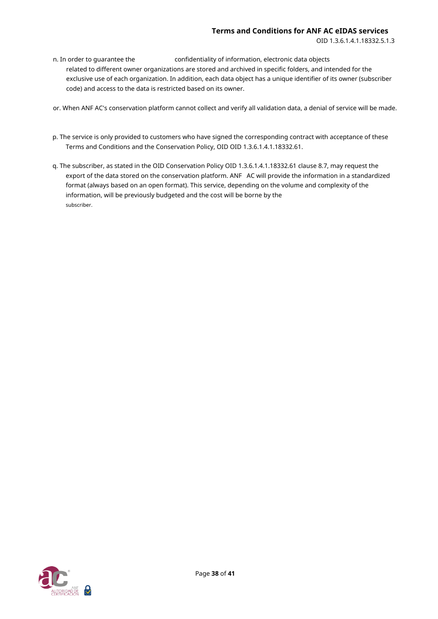n. In order to quarantee the confidentiality of information, electronic data objects related to different owner organizations are stored and archived in specific folders, and intended for the exclusive use of each organization. In addition, each data object has a unique identifier of its owner (subscriber code) and access to the data is restricted based on its owner.

or. When ANF AC's conservation platform cannot collect and verify all validation data, a denial of service will be made.

- p. The service is only provided to customers who have signed the corresponding contract with acceptance of these Terms and Conditions and the Conservation Policy, OID OID 1.3.6.1.4.1.18332.61.
- q. The subscriber, as stated in the OID Conservation Policy OID 1.3.6.1.4.1.18332.61 clause 8.7, may request the export of the data stored on the conservation platform. ANF AC will provide the information in a standardized format (always based on an open format). This service, depending on the volume and complexity of the information, will be previously budgeted and the cost will be borne by the subscriber.

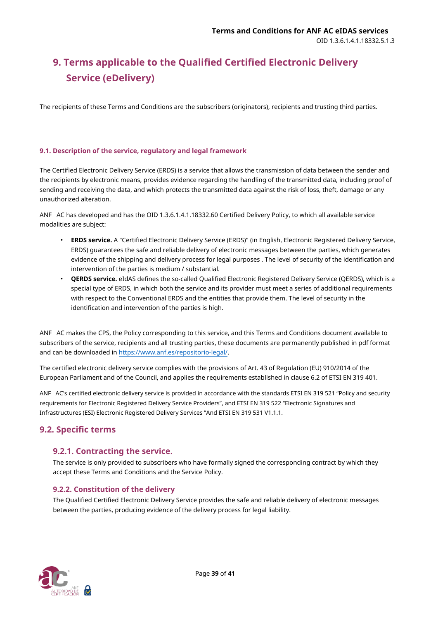# <span id="page-38-0"></span>**9. Terms applicable to the Qualified Certified Electronic Delivery Service (eDelivery)**

The recipients of these Terms and Conditions are the subscribers (originators), recipients and trusting third parties.

#### <span id="page-38-1"></span>**9.1. Description of the service, regulatory and legal framework**

The Certified Electronic Delivery Service (ERDS) is a service that allows the transmission of data between the sender and the recipients by electronic means, provides evidence regarding the handling of the transmitted data, including proof of sending and receiving the data, and which protects the transmitted data against the risk of loss, theft, damage or any unauthorized alteration.

ANF AC has developed and has the OID 1.3.6.1.4.1.18332.60 Certified Delivery Policy, to which all available service modalities are subject:

- **ERDS service.** A "Certified Electronic Delivery Service (ERDS)" (in English, Electronic Registered Delivery Service, ERDS) guarantees the safe and reliable delivery of electronic messages between the parties, which generates evidence of the shipping and delivery process for legal purposes . The level of security of the identification and intervention of the parties is medium / substantial.
- **QERDS service.** eIdAS defines the so-called Qualified Electronic Registered Delivery Service (QERDS), which is a special type of ERDS, in which both the service and its provider must meet a series of additional requirements with respect to the Conventional ERDS and the entities that provide them. The level of security in the identification and intervention of the parties is high.

ANF AC makes the CPS, the Policy corresponding to this service, and this Terms and Conditions document available to subscribers of the service, recipients and all trusting parties, these documents are permanently published in pdf format and can be downloaded in https://www.anf.es/repositorio-legal/.

The certified electronic delivery service complies with the provisions of Art. 43 of Regulation (EU) 910/2014 of the European Parliament and of the Council, and applies the requirements established in clause 6.2 of ETSI EN 319 401.

ANF AC's certified electronic delivery service is provided in accordance with the standards ETSI EN 319 521 "Policy and security requirements for Electronic Registered Delivery Service Providers", and ETSI EN 319 522 "Electronic Signatures and Infrastructures (ESI) Electronic Registered Delivery Services "And ETSI EN 319 531 V1.1.1.

# <span id="page-38-2"></span>**9.2. Specific terms**

# <span id="page-38-3"></span>**9.2.1. Contracting the service.**

The service is only provided to subscribers who have formally signed the corresponding contract by which they accept these Terms and Conditions and the Service Policy.

#### <span id="page-38-4"></span>**9.2.2. Constitution of the delivery**

The Qualified Certified Electronic Delivery Service provides the safe and reliable delivery of electronic messages between the parties, producing evidence of the delivery process for legal liability.

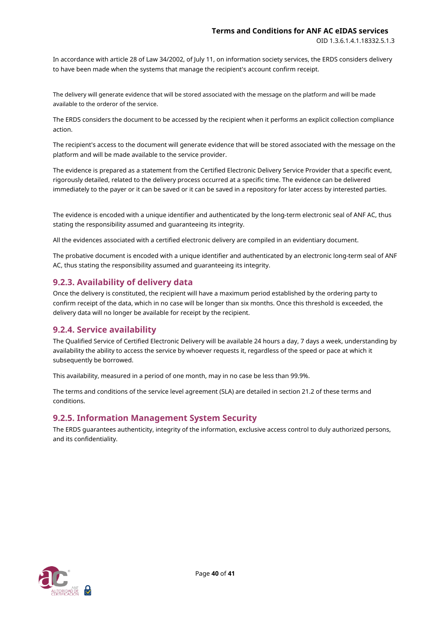In accordance with article 28 of Law 34/2002, of July 11, on information society services, the ERDS considers delivery to have been made when the systems that manage the recipient's account confirm receipt.

The delivery will generate evidence that will be stored associated with the message on the platform and will be made available to the orderor of the service.

The ERDS considers the document to be accessed by the recipient when it performs an explicit collection compliance action.

The recipient's access to the document will generate evidence that will be stored associated with the message on the platform and will be made available to the service provider.

The evidence is prepared as a statement from the Certified Electronic Delivery Service Provider that a specific event, rigorously detailed, related to the delivery process occurred at a specific time. The evidence can be delivered immediately to the payer or it can be saved or it can be saved in a repository for later access by interested parties.

The evidence is encoded with a unique identifier and authenticated by the long-term electronic seal of ANF AC, thus stating the responsibility assumed and guaranteeing its integrity.

All the evidences associated with a certified electronic delivery are compiled in an evidentiary document.

The probative document is encoded with a unique identifier and authenticated by an electronic long-term seal of ANF AC, thus stating the responsibility assumed and guaranteeing its integrity.

# <span id="page-39-0"></span>**9.2.3. Availability of delivery data**

Once the delivery is constituted, the recipient will have a maximum period established by the ordering party to confirm receipt of the data, which in no case will be longer than six months. Once this threshold is exceeded, the delivery data will no longer be available for receipt by the recipient.

# <span id="page-39-1"></span>**9.2.4. Service availability**

The Qualified Service of Certified Electronic Delivery will be available 24 hours a day, 7 days a week, understanding by availability the ability to access the service by whoever requests it, regardless of the speed or pace at which it subsequently be borrowed.

This availability, measured in a period of one month, may in no case be less than 99.9%.

The terms and conditions of the service level agreement (SLA) are detailed in section 21.2 of these terms and conditions.

# <span id="page-39-2"></span>**9.2.5. Information Management System Security**

The ERDS guarantees authenticity, integrity of the information, exclusive access control to duly authorized persons, and its confidentiality.